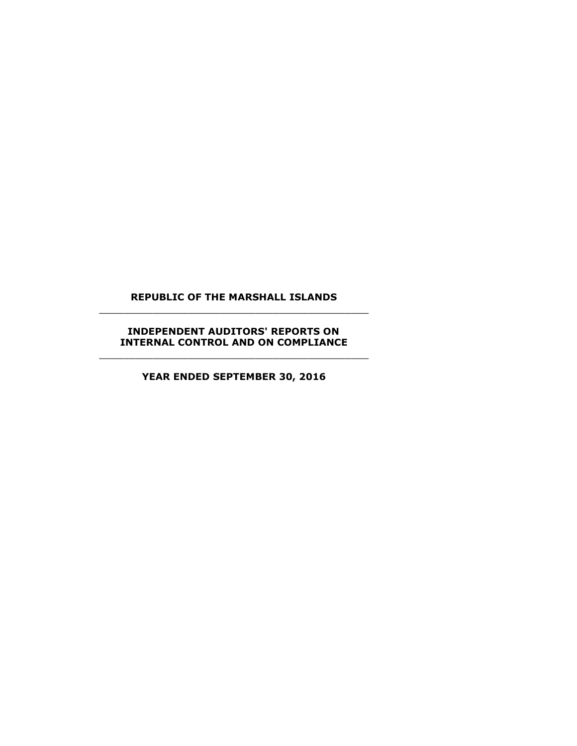# **REPUBLIC OF THE MARSHALL ISLANDS** \_\_\_\_\_\_\_\_\_\_\_\_\_\_\_\_\_\_\_\_\_\_\_\_\_\_\_\_\_\_\_\_\_\_\_\_\_\_\_\_\_\_\_\_\_

# **INDEPENDENT AUDITORS' REPORTS ON INTERNAL CONTROL AND ON COMPLIANCE** \_\_\_\_\_\_\_\_\_\_\_\_\_\_\_\_\_\_\_\_\_\_\_\_\_\_\_\_\_\_\_\_\_\_\_\_\_\_\_\_\_\_\_\_\_

**YEAR ENDED SEPTEMBER 30, 2016**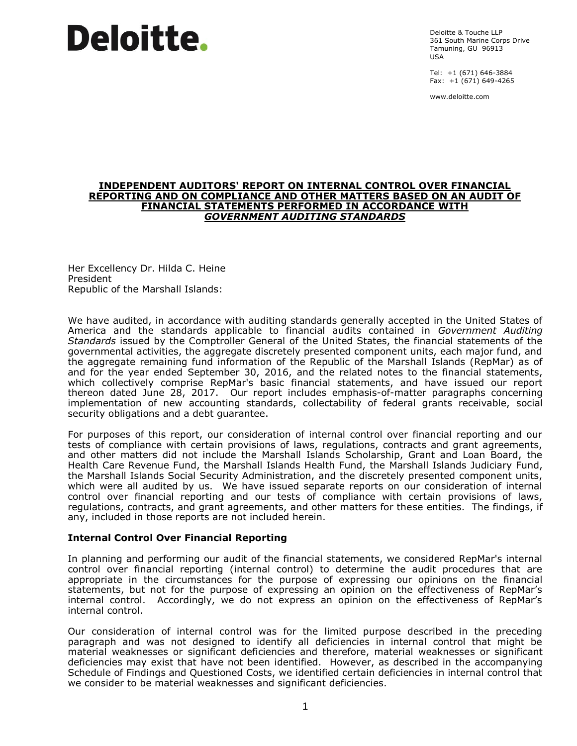Deloitte & Touche LLP 361 South Marine Corps Drive Tamuning, GU 96913 USA

Tel: +1 (671) 646-3884 Fax: +1 (671) 649-4265

www.deloitte.com

#### **INDEPENDENT AUDITORS' REPORT ON INTERNAL CONTROL OVER FINANCIAL REPORTING AND ON COMPLIANCE AND OTHER MATTERS BASED ON AN AUDIT OF FINANCIAL STATEMENTS PERFORMED IN ACCORDANCE WITH** *GOVERNMENT AUDITING STANDARDS*

Her Excellency Dr. Hilda C. Heine President Republic of the Marshall Islands:

We have audited, in accordance with auditing standards generally accepted in the United States of America and the standards applicable to financial audits contained in *Government Auditing Standards* issued by the Comptroller General of the United States, the financial statements of the governmental activities, the aggregate discretely presented component units, each major fund, and the aggregate remaining fund information of the Republic of the Marshall Islands (RepMar) as of and for the year ended September 30, 2016, and the related notes to the financial statements, which collectively comprise RepMar's basic financial statements, and have issued our report thereon dated June 28, 2017. Our report includes emphasis-of-matter paragraphs concerning implementation of new accounting standards, collectability of federal grants receivable, social security obligations and a debt guarantee.

For purposes of this report, our consideration of internal control over financial reporting and our tests of compliance with certain provisions of laws, regulations, contracts and grant agreements, and other matters did not include the Marshall Islands Scholarship, Grant and Loan Board, the Health Care Revenue Fund, the Marshall Islands Health Fund, the Marshall Islands Judiciary Fund, the Marshall Islands Social Security Administration, and the discretely presented component units, which were all audited by us. We have issued separate reports on our consideration of internal control over financial reporting and our tests of compliance with certain provisions of laws, regulations, contracts, and grant agreements, and other matters for these entities. The findings, if any, included in those reports are not included herein.

# **Internal Control Over Financial Reporting**

In planning and performing our audit of the financial statements, we considered RepMar's internal control over financial reporting (internal control) to determine the audit procedures that are appropriate in the circumstances for the purpose of expressing our opinions on the financial statements, but not for the purpose of expressing an opinion on the effectiveness of RepMar's internal control. Accordingly, we do not express an opinion on the effectiveness of RepMar's internal control.

Our consideration of internal control was for the limited purpose described in the preceding paragraph and was not designed to identify all deficiencies in internal control that might be material weaknesses or significant deficiencies and therefore, material weaknesses or significant deficiencies may exist that have not been identified. However, as described in the accompanying Schedule of Findings and Questioned Costs, we identified certain deficiencies in internal control that we consider to be material weaknesses and significant deficiencies.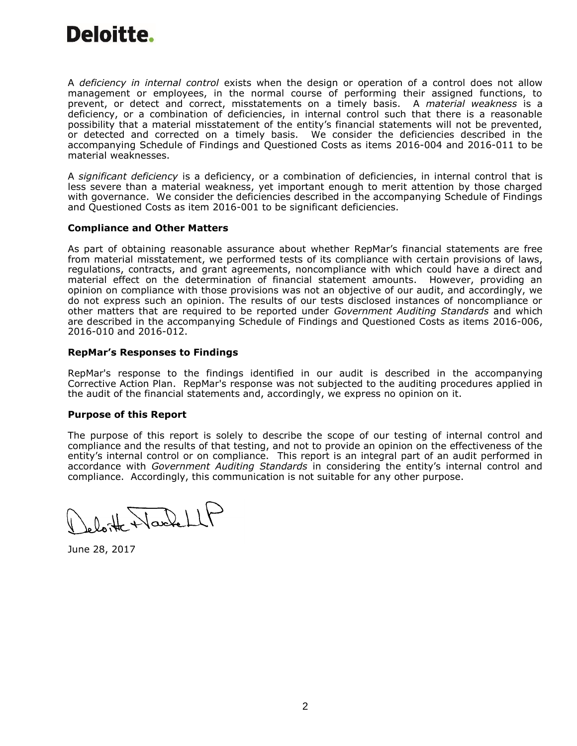A *deficiency in internal control* exists when the design or operation of a control does not allow management or employees, in the normal course of performing their assigned functions, to prevent, or detect and correct, misstatements on a timely basis. A *material weakness* is a deficiency, or a combination of deficiencies, in internal control such that there is a reasonable possibility that a material misstatement of the entity's financial statements will not be prevented, or detected and corrected on a timely basis. We consider the deficiencies described in the accompanying Schedule of Findings and Questioned Costs as items 2016-004 and 2016-011 to be material weaknesses.

A *significant deficiency* is a deficiency, or a combination of deficiencies, in internal control that is less severe than a material weakness, yet important enough to merit attention by those charged with governance. We consider the deficiencies described in the accompanying Schedule of Findings and Questioned Costs as item 2016-001 to be significant deficiencies.

# **Compliance and Other Matters**

As part of obtaining reasonable assurance about whether RepMar's financial statements are free from material misstatement, we performed tests of its compliance with certain provisions of laws, regulations, contracts, and grant agreements, noncompliance with which could have a direct and material effect on the determination of financial statement amounts. However, providing an opinion on compliance with those provisions was not an objective of our audit, and accordingly, we do not express such an opinion. The results of our tests disclosed instances of noncompliance or other matters that are required to be reported under *Government Auditing Standards* and which are described in the accompanying Schedule of Findings and Questioned Costs as items 2016-006, 2016-010 and 2016-012.

# **RepMar's Responses to Findings**

RepMar's response to the findings identified in our audit is described in the accompanying Corrective Action Plan. RepMar's response was not subjected to the auditing procedures applied in the audit of the financial statements and, accordingly, we express no opinion on it.

# **Purpose of this Report**

The purpose of this report is solely to describe the scope of our testing of internal control and compliance and the results of that testing, and not to provide an opinion on the effectiveness of the entity's internal control or on compliance. This report is an integral part of an audit performed in accordance with *Government Auditing Standards* in considering the entity's internal control and compliance. Accordingly, this communication is not suitable for any other purpose.

Doithe Nachell

June 28, 2017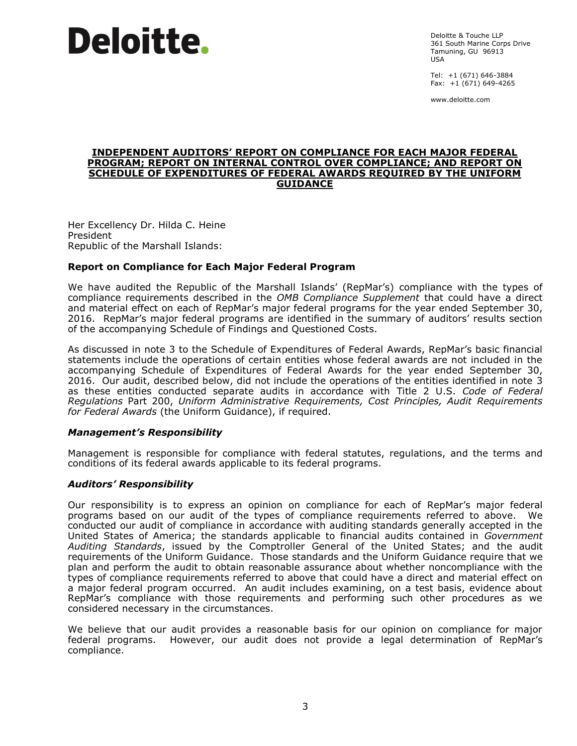Deloitte & Touche LLP 361 South Marine Corps Drive Tamuning, GU 96913 USA

Tel: +1 (671) 646-3884 Fax: +1 (671) 649-4265

www.deloitte.com

#### **INDEPENDENT AUDITORS' REPORT ON COMPLIANCE FOR EACH MAJOR FEDERAL PROGRAM; REPORT ON INTERNAL CONTROL OVER COMPLIANCE; AND REPORT ON SCHEDULE OF EXPENDITURES OF FEDERAL AWARDS REQUIRED BY THE UNIFORM GUIDANCE**

Her Excellency Dr. Hilda C. Heine President Republic of the Marshall Islands:

# **Report on Compliance for Each Major Federal Program**

We have audited the Republic of the Marshall Islands' (RepMar's) compliance with the types of compliance requirements described in the *OMB Compliance Supplement* that could have a direct and material effect on each of RepMar's major federal programs for the year ended September 30, 2016. RepMar's major federal programs are identified in the summary of auditors' results section of the accompanying Schedule of Findings and Questioned Costs.

As discussed in note 3 to the Schedule of Expenditures of Federal Awards, RepMar's basic financial statements include the operations of certain entities whose federal awards are not included in the accompanying Schedule of Expenditures of Federal Awards for the year ended September 30, 2016. Our audit, described below, did not include the operations of the entities identified in note 3 as these entities conducted separate audits in accordance with Title 2 U.S. *Code of Federal Regulations* Part 200, *Uniform Administrative Requirements, Cost Principles, Audit Requirements for Federal Awards* (the Uniform Guidance), if required.

# *Management's Responsibility*

Management is responsible for compliance with federal statutes, regulations, and the terms and conditions of its federal awards applicable to its federal programs.

# *Auditors' Responsibility*

Our responsibility is to express an opinion on compliance for each of RepMar's major federal programs based on our audit of the types of compliance requirements referred to above. We conducted our audit of compliance in accordance with auditing standards generally accepted in the United States of America; the standards applicable to financial audits contained in *Government Auditing Standards*, issued by the Comptroller General of the United States; and the audit requirements of the Uniform Guidance. Those standards and the Uniform Guidance require that we plan and perform the audit to obtain reasonable assurance about whether noncompliance with the types of compliance requirements referred to above that could have a direct and material effect on a major federal program occurred. An audit includes examining, on a test basis, evidence about RepMar's compliance with those requirements and performing such other procedures as we considered necessary in the circumstances.

We believe that our audit provides a reasonable basis for our opinion on compliance for major federal programs. However, our audit does not provide a legal determination of RepMar's compliance.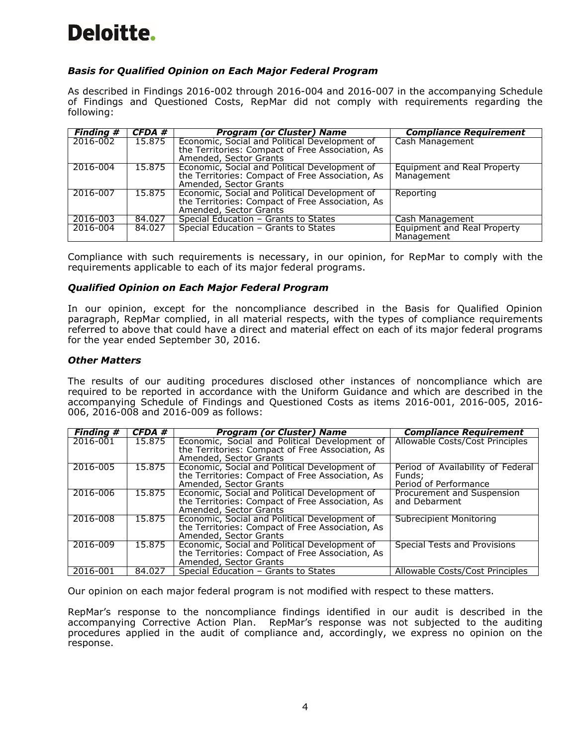# *Basis for Qualified Opinion on Each Major Federal Program*

As described in Findings 2016-002 through 2016-004 and 2016-007 in the accompanying Schedule of Findings and Questioned Costs, RepMar did not comply with requirements regarding the following:

| <b>Finding #</b> | CFDA # | <b>Program (or Cluster) Name</b>                                                                                            | <b>Compliance Requirement</b>                    |
|------------------|--------|-----------------------------------------------------------------------------------------------------------------------------|--------------------------------------------------|
| 2016-002         | 15.875 | Economic, Social and Political Development of                                                                               | Cash Management                                  |
|                  |        | the Territories: Compact of Free Association, As<br>Amended, Sector Grants                                                  |                                                  |
| 2016-004         | 15.875 | Economic, Social and Political Development of<br>the Territories: Compact of Free Association, As<br>Amended, Sector Grants | <b>Equipment and Real Property</b><br>Management |
| 2016-007         | 15.875 | Economic, Social and Political Development of<br>the Territories: Compact of Free Association, As<br>Amended, Sector Grants | Reporting                                        |
| 2016-003         | 84.027 | Special Education - Grants to States                                                                                        | Cash Management                                  |
| 2016-004         | 84.027 | Special Education - Grants to States                                                                                        | Equipment and Real Property<br>Management        |

Compliance with such requirements is necessary, in our opinion, for RepMar to comply with the requirements applicable to each of its major federal programs.

# *Qualified Opinion on Each Major Federal Program*

In our opinion, except for the noncompliance described in the Basis for Qualified Opinion paragraph, RepMar complied, in all material respects, with the types of compliance requirements referred to above that could have a direct and material effect on each of its major federal programs for the year ended September 30, 2016.

# *Other Matters*

The results of our auditing procedures disclosed other instances of noncompliance which are required to be reported in accordance with the Uniform Guidance and which are described in the accompanying Schedule of Findings and Questioned Costs as items 2016-001, 2016-005, 2016- 006, 2016-008 and 2016-009 as follows:

| <b>Finding #</b> | CFDA#  | <b>Program (or Cluster) Name</b>                                                                                            | <b>Compliance Requirement</b>                                        |
|------------------|--------|-----------------------------------------------------------------------------------------------------------------------------|----------------------------------------------------------------------|
| 2016-001         | 15.875 | Economic, Social and Political Development of<br>the Territories: Compact of Free Association, As<br>Amended, Sector Grants | Allowable Costs/Cost Principles                                      |
| 2016-005         | 15.875 | Economic, Social and Political Development of<br>the Territories: Compact of Free Association, As<br>Amended, Sector Grants | Period of Availability of Federal<br>Funds:<br>Period of Performance |
| 2016-006         | 15.875 | Economic, Social and Political Development of<br>the Territories: Compact of Free Association, As<br>Amended, Sector Grants | Procurement and Suspension<br>and Debarment                          |
| 2016-008         | 15.875 | Economic, Social and Political Development of<br>the Territories: Compact of Free Association, As<br>Amended, Sector Grants | Subrecipient Monitoring                                              |
| 2016-009         | 15.875 | Economic, Social and Political Development of<br>the Territories: Compact of Free Association, As<br>Amended, Sector Grants | <b>Special Tests and Provisions</b>                                  |
| 2016-001         | 84.027 | Special Education - Grants to States                                                                                        | Allowable Costs/Cost Principles                                      |

Our opinion on each major federal program is not modified with respect to these matters.

RepMar's response to the noncompliance findings identified in our audit is described in the accompanying Corrective Action Plan. RepMar's response was not subjected to the auditing procedures applied in the audit of compliance and, accordingly, we express no opinion on the response.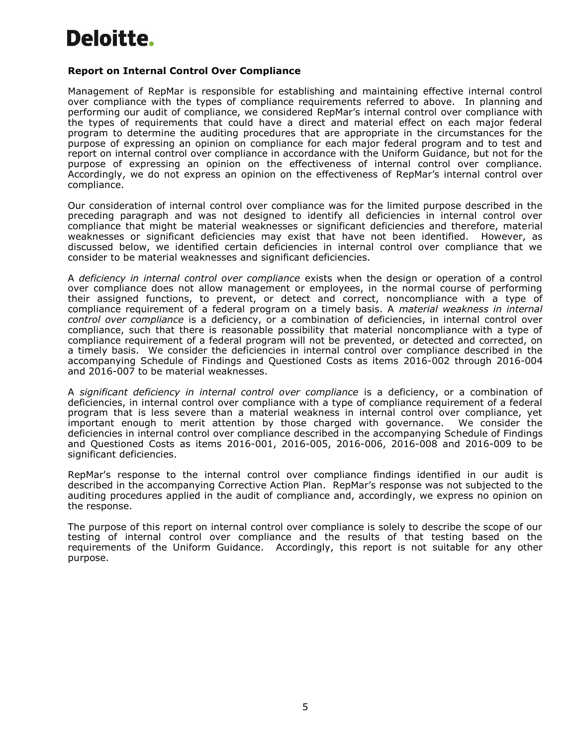# **Report on Internal Control Over Compliance**

Management of RepMar is responsible for establishing and maintaining effective internal control over compliance with the types of compliance requirements referred to above. In planning and performing our audit of compliance, we considered RepMar's internal control over compliance with the types of requirements that could have a direct and material effect on each major federal program to determine the auditing procedures that are appropriate in the circumstances for the purpose of expressing an opinion on compliance for each major federal program and to test and report on internal control over compliance in accordance with the Uniform Guidance, but not for the purpose of expressing an opinion on the effectiveness of internal control over compliance. Accordingly, we do not express an opinion on the effectiveness of RepMar's internal control over compliance.

Our consideration of internal control over compliance was for the limited purpose described in the preceding paragraph and was not designed to identify all deficiencies in internal control over compliance that might be material weaknesses or significant deficiencies and therefore, material weaknesses or significant deficiencies may exist that have not been identified. However, as discussed below, we identified certain deficiencies in internal control over compliance that we consider to be material weaknesses and significant deficiencies.

A *deficiency in internal control over compliance* exists when the design or operation of a control over compliance does not allow management or employees, in the normal course of performing their assigned functions, to prevent, or detect and correct, noncompliance with a type of compliance requirement of a federal program on a timely basis. A *material weakness in internal control over compliance* is a deficiency, or a combination of deficiencies, in internal control over compliance, such that there is reasonable possibility that material noncompliance with a type of compliance requirement of a federal program will not be prevented, or detected and corrected, on a timely basis. We consider the deficiencies in internal control over compliance described in the accompanying Schedule of Findings and Questioned Costs as items 2016-002 through 2016-004 and 2016-007 to be material weaknesses.

A *significant deficiency in internal control over compliance* is a deficiency, or a combination of deficiencies, in internal control over compliance with a type of compliance requirement of a federal program that is less severe than a material weakness in internal control over compliance, yet important enough to merit attention by those charged with governance. We consider the deficiencies in internal control over compliance described in the accompanying Schedule of Findings and Questioned Costs as items 2016-001, 2016-005, 2016-006, 2016-008 and 2016-009 to be significant deficiencies.

RepMar's response to the internal control over compliance findings identified in our audit is described in the accompanying Corrective Action Plan. RepMar's response was not subjected to the auditing procedures applied in the audit of compliance and, accordingly, we express no opinion on the response.

The purpose of this report on internal control over compliance is solely to describe the scope of our testing of internal control over compliance and the results of that testing based on the requirements of the Uniform Guidance. Accordingly, this report is not suitable for any other purpose.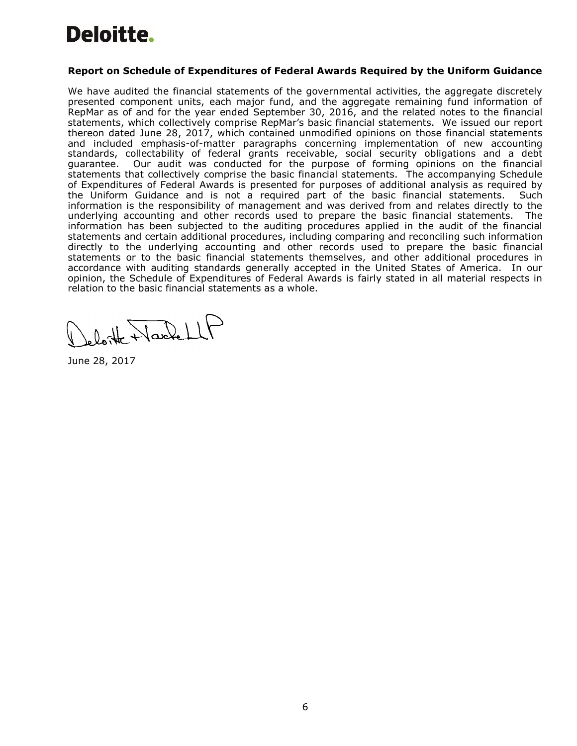# **Report on Schedule of Expenditures of Federal Awards Required by the Uniform Guidance**

We have audited the financial statements of the governmental activities, the aggregate discretely presented component units, each major fund, and the aggregate remaining fund information of RepMar as of and for the year ended September 30, 2016, and the related notes to the financial statements, which collectively comprise RepMar's basic financial statements. We issued our report thereon dated June 28, 2017, which contained unmodified opinions on those financial statements and included emphasis-of-matter paragraphs concerning implementation of new accounting standards, collectability of federal grants receivable, social security obligations and a debt guarantee. Our audit was conducted for the purpose of forming opinions on the financial statements that collectively comprise the basic financial statements. The accompanying Schedule of Expenditures of Federal Awards is presented for purposes of additional analysis as required by the Uniform Guidance and is not a required part of the basic financial statements. Such information is the responsibility of management and was derived from and relates directly to the underlying accounting and other records used to prepare the basic financial statements. The information has been subjected to the auditing procedures applied in the audit of the financial statements and certain additional procedures, including comparing and reconciling such information directly to the underlying accounting and other records used to prepare the basic financial statements or to the basic financial statements themselves, and other additional procedures in accordance with auditing standards generally accepted in the United States of America. In our opinion, the Schedule of Expenditures of Federal Awards is fairly stated in all material respects in relation to the basic financial statements as a whole.

Jeloitte WardellP

June 28, 2017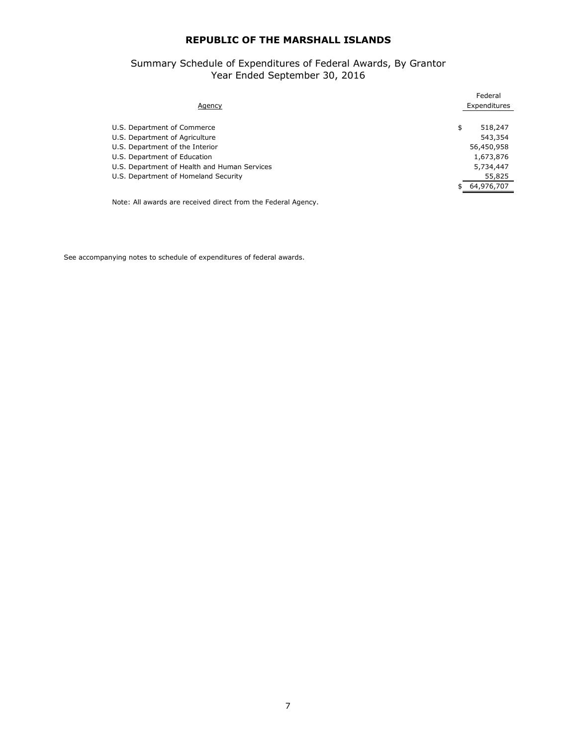#### Summary Schedule of Expenditures of Federal Awards, By Grantor Year Ended September 30, 2016

| <b>Agency</b>                                | Federal<br>Expenditures |
|----------------------------------------------|-------------------------|
| U.S. Department of Commerce                  | 518,247<br>\$           |
| U.S. Department of Agriculture               | 543,354                 |
| U.S. Department of the Interior              | 56,450,958              |
| U.S. Department of Education                 | 1,673,876               |
| U.S. Department of Health and Human Services | 5,734,447               |
| U.S. Department of Homeland Security         | 55,825                  |
|                                              | 64,976,707              |
|                                              |                         |

Note: All awards are received direct from the Federal Agency.

See accompanying notes to schedule of expenditures of federal awards.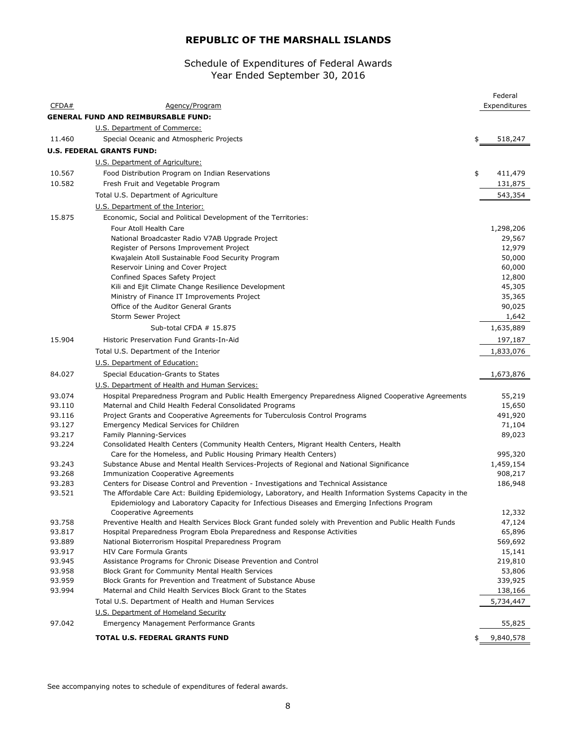#### Schedule of Expenditures of Federal Awards Year Ended September 30, 2016

|        |                                                                                                                                         | Federal              |
|--------|-----------------------------------------------------------------------------------------------------------------------------------------|----------------------|
| CFDA#  | Agency/Program                                                                                                                          | Expenditures         |
|        | <b>GENERAL FUND AND REIMBURSABLE FUND:</b>                                                                                              |                      |
|        | U.S. Department of Commerce:                                                                                                            |                      |
| 11.460 | Special Oceanic and Atmospheric Projects                                                                                                | \$<br>518,247        |
|        | <b>U.S. FEDERAL GRANTS FUND:</b>                                                                                                        |                      |
|        | U.S. Department of Agriculture:                                                                                                         |                      |
| 10.567 | Food Distribution Program on Indian Reservations                                                                                        | \$<br>411,479        |
| 10.582 | Fresh Fruit and Vegetable Program                                                                                                       | 131,875              |
|        |                                                                                                                                         | 543,354              |
|        | Total U.S. Department of Agriculture                                                                                                    |                      |
|        | U.S. Department of the Interior:                                                                                                        |                      |
| 15.875 | Economic, Social and Political Development of the Territories:                                                                          |                      |
|        | Four Atoll Health Care                                                                                                                  | 1,298,206            |
|        | National Broadcaster Radio V7AB Upgrade Project                                                                                         | 29,567               |
|        | Register of Persons Improvement Project                                                                                                 | 12,979               |
|        | Kwajalein Atoll Sustainable Food Security Program                                                                                       | 50,000               |
|        | Reservoir Lining and Cover Project                                                                                                      | 60,000               |
|        | Confined Spaces Safety Project<br>Kili and Ejit Climate Change Resilience Development                                                   | 12,800<br>45,305     |
|        | Ministry of Finance IT Improvements Project                                                                                             | 35,365               |
|        | Office of the Auditor General Grants                                                                                                    | 90,025               |
|        | Storm Sewer Project                                                                                                                     | 1,642                |
|        | Sub-total CFDA # 15.875                                                                                                                 | 1,635,889            |
| 15.904 | Historic Preservation Fund Grants-In-Aid                                                                                                |                      |
|        |                                                                                                                                         | 197,187              |
|        | Total U.S. Department of the Interior                                                                                                   | 1,833,076            |
|        | U.S. Department of Education:                                                                                                           |                      |
| 84.027 | Special Education-Grants to States                                                                                                      | 1,673,876            |
|        | U.S. Department of Health and Human Services:                                                                                           |                      |
| 93.074 | Hospital Preparedness Program and Public Health Emergency Preparedness Aligned Cooperative Agreements                                   | 55,219               |
| 93.110 | Maternal and Child Health Federal Consolidated Programs                                                                                 | 15,650               |
| 93.116 | Project Grants and Cooperative Agreements for Tuberculosis Control Programs                                                             | 491,920              |
| 93.127 | Emergency Medical Services for Children                                                                                                 | 71,104               |
| 93.217 | <b>Family Planning-Services</b>                                                                                                         | 89,023               |
| 93.224 | Consolidated Health Centers (Community Health Centers, Migrant Health Centers, Health                                                   |                      |
| 93.243 | Care for the Homeless, and Public Housing Primary Health Centers)                                                                       | 995,320<br>1,459,154 |
| 93.268 | Substance Abuse and Mental Health Services-Projects of Regional and National Significance<br><b>Immunization Cooperative Agreements</b> | 908,217              |
| 93.283 | Centers for Disease Control and Prevention - Investigations and Technical Assistance                                                    | 186,948              |
| 93.521 | The Affordable Care Act: Building Epidemiology, Laboratory, and Health Information Systems Capacity in the                              |                      |
|        | Epidemiology and Laboratory Capacity for Infectious Diseases and Emerging Infections Program                                            |                      |
|        | Cooperative Agreements                                                                                                                  | 12,332               |
| 93.758 | Preventive Health and Health Services Block Grant funded solely with Prevention and Public Health Funds                                 | 47,124               |
| 93.817 | Hospital Preparedness Program Ebola Preparedness and Response Activities                                                                | 65,896               |
| 93.889 | National Bioterrorism Hospital Preparedness Program                                                                                     | 569,692              |
| 93.917 | <b>HIV Care Formula Grants</b>                                                                                                          | 15,141               |
| 93.945 | Assistance Programs for Chronic Disease Prevention and Control                                                                          | 219,810              |
| 93.958 | <b>Block Grant for Community Mental Health Services</b>                                                                                 | 53,806               |
| 93.959 | Block Grants for Prevention and Treatment of Substance Abuse                                                                            | 339,925              |
| 93.994 | Maternal and Child Health Services Block Grant to the States                                                                            | 138,166              |
|        | Total U.S. Department of Health and Human Services                                                                                      | 5,734,447            |
|        | U.S. Department of Homeland Security                                                                                                    |                      |
| 97.042 | <b>Emergency Management Performance Grants</b>                                                                                          | 55,825               |
|        | TOTAL U.S. FEDERAL GRANTS FUND                                                                                                          | \$<br>9,840,578      |

See accompanying notes to schedule of expenditures of federal awards.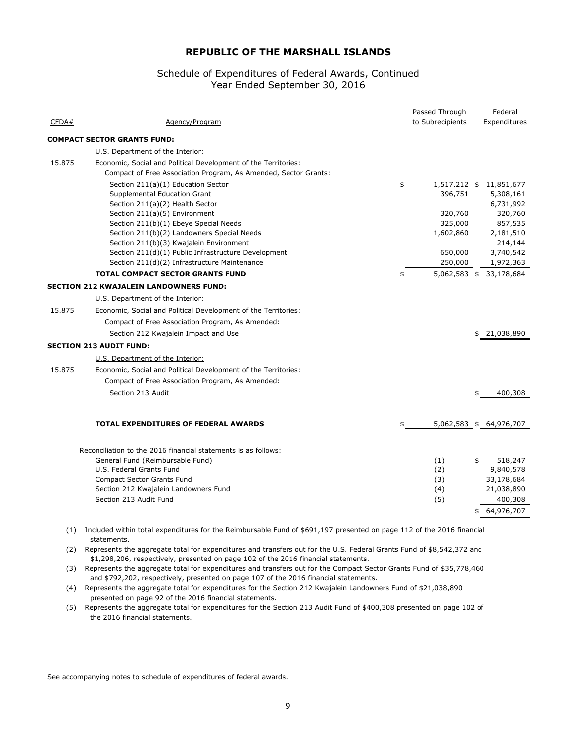# Year Ended September 30, 2016 Schedule of Expenditures of Federal Awards, Continued

| CFDA#  | Agency/Program                                                                                                                    | Passed Through<br>to Subrecipients | Federal<br>Expenditures |
|--------|-----------------------------------------------------------------------------------------------------------------------------------|------------------------------------|-------------------------|
|        |                                                                                                                                   |                                    |                         |
|        | <b>COMPACT SECTOR GRANTS FUND:</b>                                                                                                |                                    |                         |
|        | U.S. Department of the Interior:                                                                                                  |                                    |                         |
| 15.875 | Economic, Social and Political Development of the Territories:<br>Compact of Free Association Program, As Amended, Sector Grants: |                                    |                         |
|        | Section 211(a)(1) Education Sector                                                                                                | \$                                 | 1,517,212 \$ 11,851,677 |
|        | Supplemental Education Grant                                                                                                      | 396,751                            | 5,308,161               |
|        | Section 211(a)(2) Health Sector                                                                                                   |                                    | 6,731,992               |
|        | Section 211(a)(5) Environment                                                                                                     | 320,760                            | 320,760                 |
|        | Section 211(b)(1) Ebeye Special Needs                                                                                             | 325,000                            | 857,535                 |
|        | Section 211(b)(2) Landowners Special Needs                                                                                        | 1,602,860                          | 2,181,510               |
|        | Section 211(b)(3) Kwajalein Environment                                                                                           |                                    | 214,144                 |
|        | Section 211(d)(1) Public Infrastructure Development<br>Section 211(d)(2) Infrastructure Maintenance                               | 650,000<br>250,000                 | 3,740,542<br>1,972,363  |
|        | <b>TOTAL COMPACT SECTOR GRANTS FUND</b>                                                                                           | 5,062,583 \$                       | 33,178,684              |
|        | <b>SECTION 212 KWAJALEIN LANDOWNERS FUND:</b>                                                                                     |                                    |                         |
|        | U.S. Department of the Interior:                                                                                                  |                                    |                         |
|        |                                                                                                                                   |                                    |                         |
| 15.875 | Economic, Social and Political Development of the Territories:                                                                    |                                    |                         |
|        | Compact of Free Association Program, As Amended:                                                                                  |                                    |                         |
|        | Section 212 Kwajalein Impact and Use                                                                                              |                                    | \$<br>21,038,890        |
|        | <b>SECTION 213 AUDIT FUND:</b>                                                                                                    |                                    |                         |
|        | U.S. Department of the Interior:                                                                                                  |                                    |                         |
| 15.875 | Economic, Social and Political Development of the Territories:                                                                    |                                    |                         |
|        | Compact of Free Association Program, As Amended:                                                                                  |                                    |                         |
|        | Section 213 Audit                                                                                                                 |                                    | 400,308                 |
|        | <b>TOTAL EXPENDITURES OF FEDERAL AWARDS</b>                                                                                       |                                    | 5,062,583 \$ 64,976,707 |
|        |                                                                                                                                   |                                    |                         |
|        | Reconciliation to the 2016 financial statements is as follows:                                                                    |                                    |                         |
|        | General Fund (Reimbursable Fund)                                                                                                  | (1)                                | \$<br>518,247           |
|        | U.S. Federal Grants Fund                                                                                                          | (2)                                | 9,840,578               |
|        | <b>Compact Sector Grants Fund</b>                                                                                                 | (3)                                | 33,178,684              |
|        | Section 212 Kwajalein Landowners Fund                                                                                             | (4)                                | 21,038,890              |
|        | Section 213 Audit Fund                                                                                                            | (5)                                | 400,308                 |
|        |                                                                                                                                   |                                    | \$<br>64,976,707        |

(1) Included within total expenditures for the Reimbursable Fund of \$691,197 presented on page 112 of the 2016 financial statements.

(2) Represents the aggregate total for expenditures and transfers out for the U.S. Federal Grants Fund of \$8,542,372 and \$1,298,206, respectively, presented on page 102 of the 2016 financial statements.

(3) Represents the aggregate total for expenditures and transfers out for the Compact Sector Grants Fund of \$35,778,460 and \$792,202, respectively, presented on page 107 of the 2016 financial statements.

(4) Represents the aggregate total for expenditures for the Section 212 Kwajalein Landowners Fund of \$21,038,890 presented on page 92 of the 2016 financial statements.

(5) Represents the aggregate total for expenditures for the Section 213 Audit Fund of \$400,308 presented on page 102 of the 2016 financial statements.

See accompanying notes to schedule of expenditures of federal awards.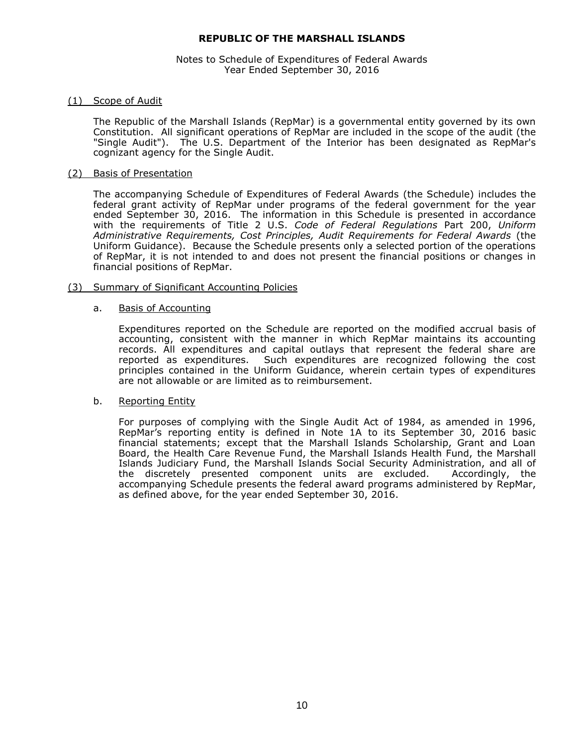# Notes to Schedule of Expenditures of Federal Awards Year Ended September 30, 2016

# (1) Scope of Audit

The Republic of the Marshall Islands (RepMar) is a governmental entity governed by its own Constitution. All significant operations of RepMar are included in the scope of the audit (the "Single Audit"). The U.S. Department of the Interior has been designated as RepMar's cognizant agency for the Single Audit.

# (2) Basis of Presentation

The accompanying Schedule of Expenditures of Federal Awards (the Schedule) includes the federal grant activity of RepMar under programs of the federal government for the year ended September 30, 2016. The information in this Schedule is presented in accordance with the requirements of Title 2 U.S. *Code of Federal Regulations* Part 200, *Uniform Administrative Requirements, Cost Principles, Audit Requirements for Federal Awards* (the Uniform Guidance). Because the Schedule presents only a selected portion of the operations of RepMar, it is not intended to and does not present the financial positions or changes in financial positions of RepMar.

# (3) Summary of Significant Accounting Policies

# a. Basis of Accounting

Expenditures reported on the Schedule are reported on the modified accrual basis of accounting, consistent with the manner in which RepMar maintains its accounting records. All expenditures and capital outlays that represent the federal share are reported as expenditures. Such expenditures are recognized following the cost principles contained in the Uniform Guidance, wherein certain types of expenditures are not allowable or are limited as to reimbursement.

# b. Reporting Entity

For purposes of complying with the Single Audit Act of 1984, as amended in 1996, RepMar's reporting entity is defined in Note 1A to its September 30, 2016 basic financial statements; except that the Marshall Islands Scholarship, Grant and Loan Board, the Health Care Revenue Fund, the Marshall Islands Health Fund, the Marshall Islands Judiciary Fund, the Marshall Islands Social Security Administration, and all of the discretely presented component units are excluded. Accordingly, the accompanying Schedule presents the federal award programs administered by RepMar, as defined above, for the year ended September 30, 2016.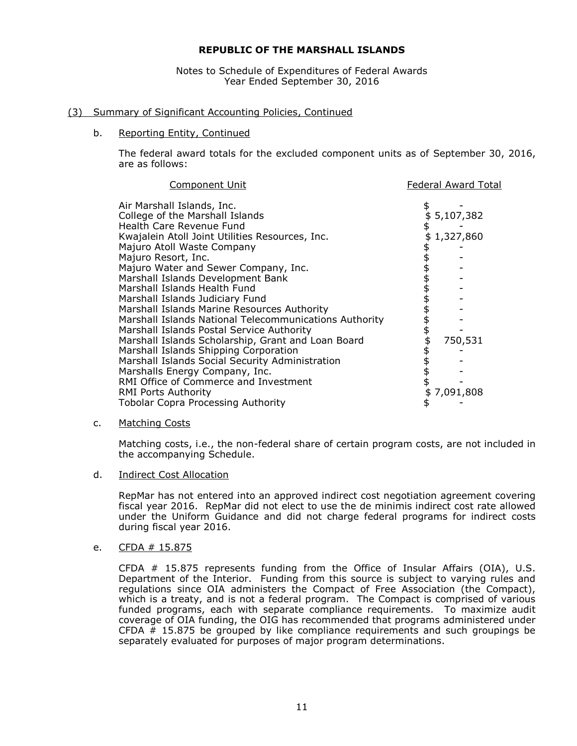Notes to Schedule of Expenditures of Federal Awards Year Ended September 30, 2016

# (3) Summary of Significant Accounting Policies, Continued

# b. Reporting Entity, Continued

The federal award totals for the excluded component units as of September 30, 2016, are as follows:

| <b>Component Unit</b>                                  | <b>Federal Award Total</b> |
|--------------------------------------------------------|----------------------------|
| Air Marshall Islands, Inc.                             | \$                         |
| College of the Marshall Islands                        | \$5,107,382                |
| Health Care Revenue Fund                               | \$                         |
| Kwajalein Atoll Joint Utilities Resources, Inc.        | \$<br>1,327,860            |
| Majuro Atoll Waste Company                             |                            |
| Majuro Resort, Inc.                                    |                            |
| Majuro Water and Sewer Company, Inc.                   |                            |
| Marshall Islands Development Bank                      |                            |
| Marshall Islands Health Fund                           |                            |
| Marshall Islands Judiciary Fund                        |                            |
| Marshall Islands Marine Resources Authority            |                            |
| Marshall Islands National Telecommunications Authority |                            |
| Marshall Islands Postal Service Authority              |                            |
| Marshall Islands Scholarship, Grant and Loan Board     | \$<br>\$<br>750,531        |
| Marshall Islands Shipping Corporation                  |                            |
| Marshall Islands Social Security Administration        |                            |
| Marshalls Energy Company, Inc.                         |                            |
| RMI Office of Commerce and Investment                  |                            |
| RMI Ports Authority                                    | 7,091,808                  |
| <b>Tobolar Copra Processing Authority</b>              |                            |

# c. Matching Costs

Matching costs, i.e., the non-federal share of certain program costs, are not included in the accompanying Schedule.

d. Indirect Cost Allocation

RepMar has not entered into an approved indirect cost negotiation agreement covering fiscal year 2016. RepMar did not elect to use the de minimis indirect cost rate allowed under the Uniform Guidance and did not charge federal programs for indirect costs during fiscal year 2016.

e. CFDA # 15.875

CFDA # 15.875 represents funding from the Office of Insular Affairs (OIA), U.S. Department of the Interior. Funding from this source is subject to varying rules and regulations since OIA administers the Compact of Free Association (the Compact), which is a treaty, and is not a federal program. The Compact is comprised of various funded programs, each with separate compliance requirements. To maximize audit coverage of OIA funding, the OIG has recommended that programs administered under CFDA  $#$  15.875 be grouped by like compliance requirements and such groupings be separately evaluated for purposes of major program determinations.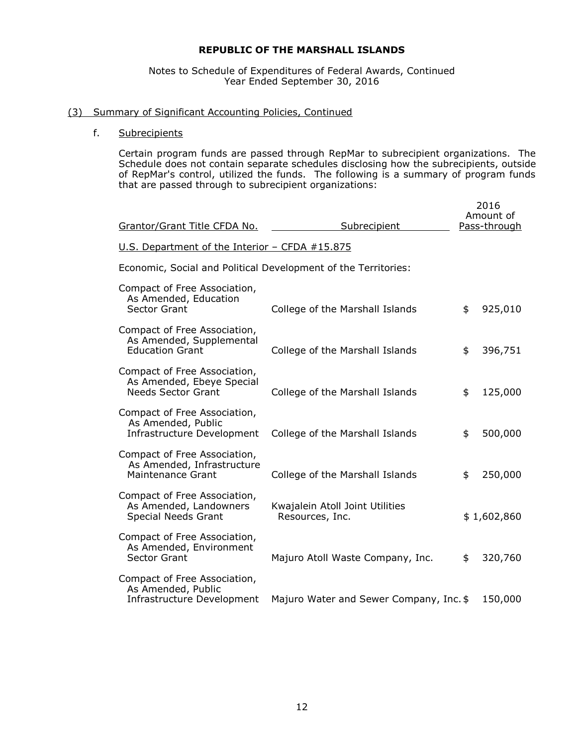# Notes to Schedule of Expenditures of Federal Awards, Continued Year Ended September 30, 2016

# (3) Summary of Significant Accounting Policies, Continued

# f. Subrecipients

Certain program funds are passed through RepMar to subrecipient organizations. The Schedule does not contain separate schedules disclosing how the subrecipients, outside of RepMar's control, utilized the funds. The following is a summary of program funds that are passed through to subrecipient organizations:

| Grantor/Grant Title CFDA No.                                                           | <b>Subrecipient</b>                                | 2016<br>Amount of<br>Pass-through |
|----------------------------------------------------------------------------------------|----------------------------------------------------|-----------------------------------|
| U.S. Department of the Interior - CFDA #15.875                                         |                                                    |                                   |
| Economic, Social and Political Development of the Territories:                         |                                                    |                                   |
| Compact of Free Association,<br>As Amended, Education<br><b>Sector Grant</b>           | College of the Marshall Islands                    | \$<br>925,010                     |
| Compact of Free Association,<br>As Amended, Supplemental<br><b>Education Grant</b>     | College of the Marshall Islands                    | \$<br>396,751                     |
| Compact of Free Association,<br>As Amended, Ebeye Special<br><b>Needs Sector Grant</b> | College of the Marshall Islands                    | \$<br>125,000                     |
| Compact of Free Association,<br>As Amended, Public<br>Infrastructure Development       | College of the Marshall Islands                    | \$<br>500,000                     |
| Compact of Free Association,<br>As Amended, Infrastructure<br><b>Maintenance Grant</b> | College of the Marshall Islands                    | \$<br>250,000                     |
| Compact of Free Association,<br>As Amended, Landowners<br>Special Needs Grant          | Kwajalein Atoll Joint Utilities<br>Resources, Inc. | \$1,602,860                       |
| Compact of Free Association,<br>As Amended, Environment<br>Sector Grant                | Majuro Atoll Waste Company, Inc.                   | \$<br>320,760                     |
| Compact of Free Association,<br>As Amended, Public<br>Infrastructure Development       | Majuro Water and Sewer Company, Inc. \$            | 150,000                           |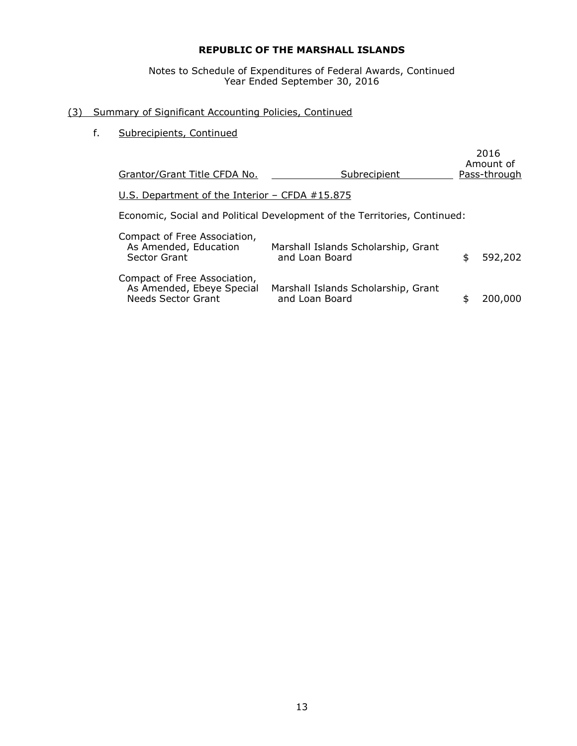Notes to Schedule of Expenditures of Federal Awards, Continued Year Ended September 30, 2016

# (3) Summary of Significant Accounting Policies, Continued

f. Subrecipients, Continued

| Grantor/Grant Title CFDA No.                                                    | Subrecipient                                                              | 2016<br>Amount of<br>Pass-through |
|---------------------------------------------------------------------------------|---------------------------------------------------------------------------|-----------------------------------|
| U.S. Department of the Interior - CFDA #15.875                                  |                                                                           |                                   |
|                                                                                 | Economic, Social and Political Development of the Territories, Continued: |                                   |
| Compact of Free Association,<br>As Amended, Education<br>Sector Grant           | Marshall Islands Scholarship, Grant<br>and Loan Board                     | \$<br>592,202                     |
| Compact of Free Association,<br>As Amended, Ebeye Special<br>Needs Sector Grant | Marshall Islands Scholarship, Grant<br>and Loan Board                     | 200,000                           |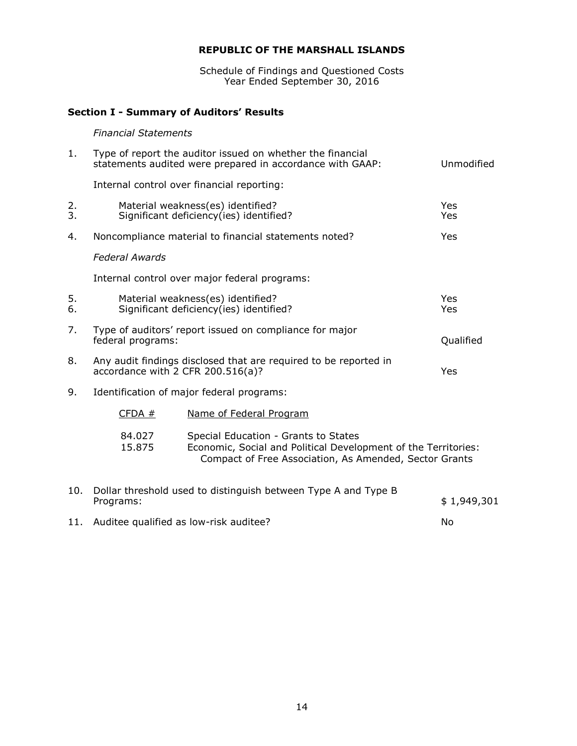Schedule of Findings and Questioned Costs Year Ended September 30, 2016

# **Section I - Summary of Auditors' Results**

# *Financial Statements*

| 1.       |                       | Type of report the auditor issued on whether the financial<br>statements audited were prepared in accordance with GAAP:                                          | Unmodified        |
|----------|-----------------------|------------------------------------------------------------------------------------------------------------------------------------------------------------------|-------------------|
|          |                       | Internal control over financial reporting:                                                                                                                       |                   |
| 2.<br>3. |                       | Material weakness(es) identified?<br>Significant deficiency(ies) identified?                                                                                     | <b>Yes</b><br>Yes |
| 4.       |                       | Noncompliance material to financial statements noted?                                                                                                            | Yes               |
|          | <b>Federal Awards</b> |                                                                                                                                                                  |                   |
|          |                       | Internal control over major federal programs:                                                                                                                    |                   |
| 5.<br>6. |                       | Material weakness(es) identified?<br>Significant deficiency(ies) identified?                                                                                     | <b>Yes</b><br>Yes |
| 7.       | federal programs:     | Type of auditors' report issued on compliance for major                                                                                                          | Qualified         |
| 8.       |                       | Any audit findings disclosed that are required to be reported in<br>accordance with 2 CFR 200.516(a)?                                                            | Yes               |
| 9.       |                       | Identification of major federal programs:                                                                                                                        |                   |
|          | CFDA#                 | Name of Federal Program                                                                                                                                          |                   |
|          | 84.027<br>15.875      | Special Education - Grants to States<br>Economic, Social and Political Development of the Territories:<br>Compact of Free Association, As Amended, Sector Grants |                   |
| 10.      | Programs:             | Dollar threshold used to distinguish between Type A and Type B                                                                                                   | \$1,949,301       |
| 11.      |                       | Auditee qualified as low-risk auditee?                                                                                                                           | No                |
|          |                       |                                                                                                                                                                  |                   |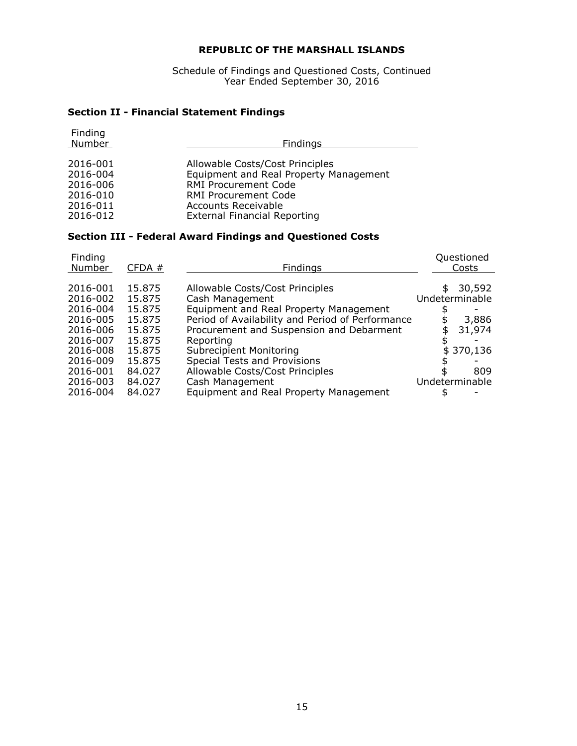Schedule of Findings and Questioned Costs, Continued Year Ended September 30, 2016

# **Section II - Financial Statement Findings**

| Finding<br>Number | Findings                               |
|-------------------|----------------------------------------|
|                   |                                        |
| 2016-001          | Allowable Costs/Cost Principles        |
| 2016-004          | Equipment and Real Property Management |
| 2016-006          | <b>RMI Procurement Code</b>            |
| 2016-010          | <b>RMI Procurement Code</b>            |
| 2016-011          | <b>Accounts Receivable</b>             |
| 2016-012          | <b>External Financial Reporting</b>    |

# **Section III - Federal Award Findings and Questioned Costs**

| Finding<br>Number                            | CFDA#                                | <b>Findings</b>                                                                                                                                  | Questioned<br>Costs                     |
|----------------------------------------------|--------------------------------------|--------------------------------------------------------------------------------------------------------------------------------------------------|-----------------------------------------|
| 2016-001<br>2016-002<br>2016-004<br>2016-005 | 15.875<br>15.875<br>15.875<br>15.875 | Allowable Costs/Cost Principles<br>Cash Management<br>Equipment and Real Property Management<br>Period of Availability and Period of Performance | \$<br>30,592<br>Undeterminable<br>3,886 |
| 2016-006<br>2016-007<br>2016-008<br>2016-009 | 15.875<br>15.875<br>15.875<br>15.875 | Procurement and Suspension and Debarment<br>Reporting<br><b>Subrecipient Monitoring</b><br>Special Tests and Provisions                          | 31,974<br>\$370,136                     |
| 2016-001<br>2016-003<br>2016-004             | 84.027<br>84.027<br>84.027           | Allowable Costs/Cost Principles<br>Cash Management<br>Equipment and Real Property Management                                                     | 809<br>Undeterminable                   |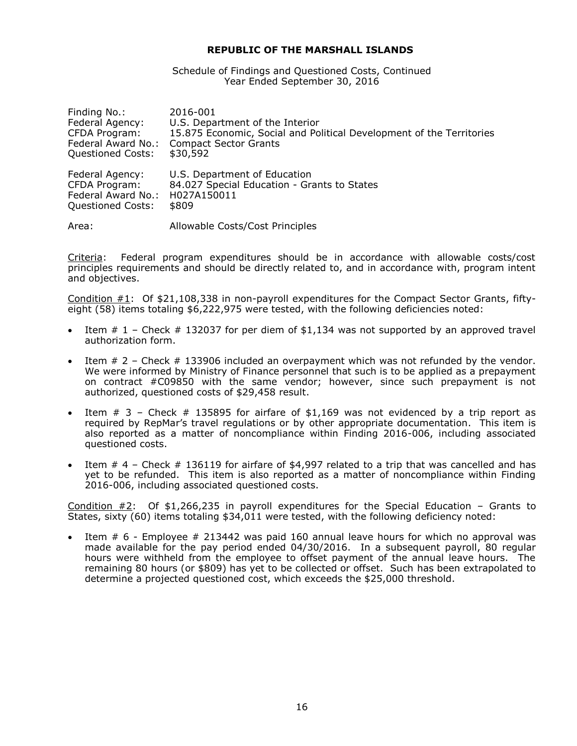Schedule of Findings and Questioned Costs, Continued Year Ended September 30, 2016

| Finding No.:             | 2016-001                                                             |
|--------------------------|----------------------------------------------------------------------|
| Federal Agency:          | U.S. Department of the Interior                                      |
| CFDA Program:            | 15.875 Economic, Social and Political Development of the Territories |
| Federal Award No.:       | <b>Compact Sector Grants</b>                                         |
| <b>Questioned Costs:</b> | \$30,592                                                             |
| Federal Agency:          | U.S. Department of Education                                         |
| CFDA Program:            | 84.027 Special Education - Grants to States                          |
| Federal Award No.:       | H027A150011                                                          |
| <b>Questioned Costs:</b> | \$809                                                                |
| Area:                    | Allowable Costs/Cost Principles                                      |

Criteria: Federal program expenditures should be in accordance with allowable costs/cost principles requirements and should be directly related to, and in accordance with, program intent and objectives.

Condition  $#1$ : Of \$21,108,338 in non-payroll expenditures for the Compact Sector Grants, fiftyeight (58) items totaling \$6,222,975 were tested, with the following deficiencies noted:

- Item  $# 1$  Check  $# 132037$  for per diem of \$1,134 was not supported by an approved travel authorization form.
- Item # 2 Check # 133906 included an overpayment which was not refunded by the vendor. We were informed by Ministry of Finance personnel that such is to be applied as a prepayment on contract #C09850 with the same vendor; however, since such prepayment is not authorized, questioned costs of \$29,458 result.
- Item  $\#$  3 Check  $\#$  135895 for airfare of \$1,169 was not evidenced by a trip report as required by RepMar's travel regulations or by other appropriate documentation. This item is also reported as a matter of noncompliance within Finding 2016-006, including associated questioned costs.
- Item  $# 4$  Check  $# 136119$  for airfare of \$4,997 related to a trip that was cancelled and has yet to be refunded. This item is also reported as a matter of noncompliance within Finding 2016-006, including associated questioned costs.

Condition #2: Of \$1,266,235 in payroll expenditures for the Special Education – Grants to States, sixty (60) items totaling \$34,011 were tested, with the following deficiency noted:

 Item # 6 - Employee # 213442 was paid 160 annual leave hours for which no approval was made available for the pay period ended 04/30/2016. In a subsequent payroll, 80 regular hours were withheld from the employee to offset payment of the annual leave hours. The remaining 80 hours (or \$809) has yet to be collected or offset. Such has been extrapolated to determine a projected questioned cost, which exceeds the \$25,000 threshold.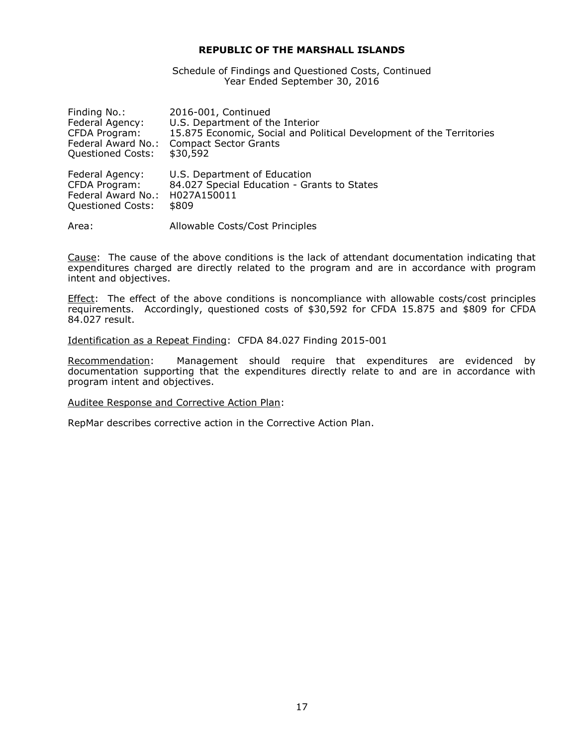Schedule of Findings and Questioned Costs, Continued Year Ended September 30, 2016

| Finding No.:       | 2016-001, Continued                                                  |
|--------------------|----------------------------------------------------------------------|
| Federal Agency:    | U.S. Department of the Interior                                      |
| CFDA Program:      | 15.875 Economic, Social and Political Development of the Territories |
| Federal Award No.: | <b>Compact Sector Grants</b>                                         |
| Questioned Costs:  | \$30,592                                                             |
| Federal Agency:    | U.S. Department of Education                                         |
| CFDA Program:      | 84.027 Special Education - Grants to States                          |
| Federal Award No.: | H027A150011                                                          |
| Questioned Costs:  | \$809                                                                |
| Area:              | Allowable Costs/Cost Principles                                      |

Cause: The cause of the above conditions is the lack of attendant documentation indicating that expenditures charged are directly related to the program and are in accordance with program intent and objectives.

**Effect:** The effect of the above conditions is noncompliance with allowable costs/cost principles requirements. Accordingly, questioned costs of \$30,592 for CFDA 15.875 and \$809 for CFDA 84.027 result.

Identification as a Repeat Finding: CFDA 84.027 Finding 2015-001

Recommendation: Management should require that expenditures are evidenced by documentation supporting that the expenditures directly relate to and are in accordance with program intent and objectives.

Auditee Response and Corrective Action Plan: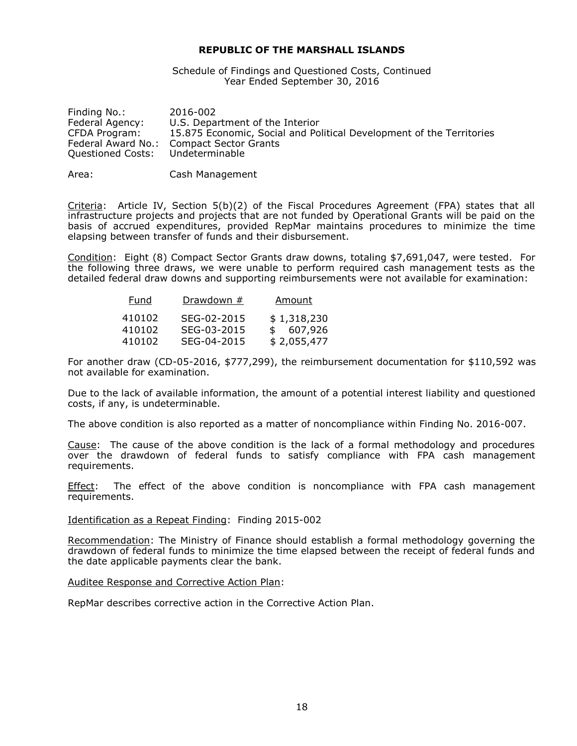Schedule of Findings and Questioned Costs, Continued Year Ended September 30, 2016

| Finding No.:       | 2016-002                                                             |
|--------------------|----------------------------------------------------------------------|
| Federal Agency:    | U.S. Department of the Interior                                      |
| CFDA Program:      | 15.875 Economic, Social and Political Development of the Territories |
| Federal Award No.: | Compact Sector Grants                                                |
| Questioned Costs:  | Undeterminable                                                       |
|                    |                                                                      |

Area: Cash Management

Criteria: Article IV, Section  $5(b)(2)$  of the Fiscal Procedures Agreement (FPA) states that all infrastructure projects and projects that are not funded by Operational Grants will be paid on the basis of accrued expenditures, provided RepMar maintains procedures to minimize the time elapsing between transfer of funds and their disbursement.

Condition: Eight (8) Compact Sector Grants draw downs, totaling \$7,691,047, were tested. For the following three draws, we were unable to perform required cash management tests as the detailed federal draw downs and supporting reimbursements were not available for examination:

| Fund   | Drawdown #  | Amount      |
|--------|-------------|-------------|
| 410102 | SEG-02-2015 | \$1,318,230 |
| 410102 | SEG-03-2015 | \$607,926   |
| 410102 | SEG-04-2015 | \$2,055,477 |

For another draw (CD-05-2016, \$777,299), the reimbursement documentation for \$110,592 was not available for examination.

Due to the lack of available information, the amount of a potential interest liability and questioned costs, if any, is undeterminable.

The above condition is also reported as a matter of noncompliance within Finding No. 2016-007.

Cause: The cause of the above condition is the lack of a formal methodology and procedures over the drawdown of federal funds to satisfy compliance with FPA cash management requirements.

Effect: The effect of the above condition is noncompliance with FPA cash management requirements.

# Identification as a Repeat Finding: Finding 2015-002

Recommendation: The Ministry of Finance should establish a formal methodology governing the drawdown of federal funds to minimize the time elapsed between the receipt of federal funds and the date applicable payments clear the bank.

#### Auditee Response and Corrective Action Plan: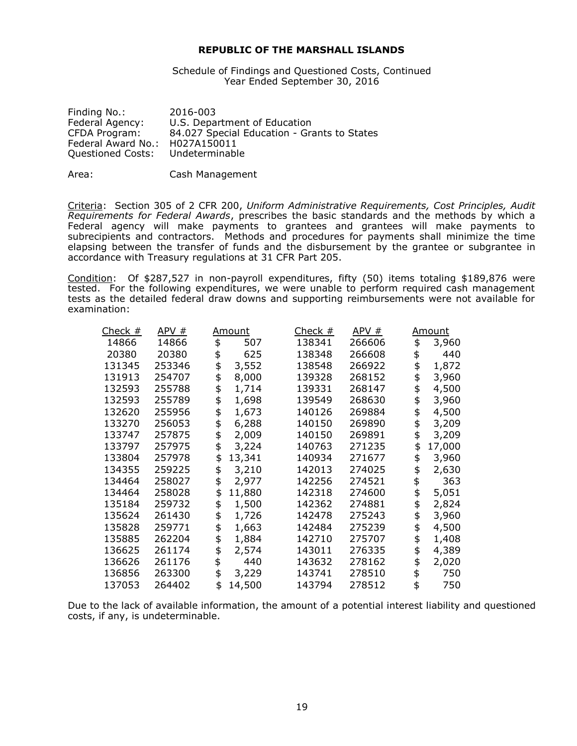Schedule of Findings and Questioned Costs, Continued Year Ended September 30, 2016

| 2016-003                                    |
|---------------------------------------------|
| U.S. Department of Education                |
| 84.027 Special Education - Grants to States |
| H027A150011                                 |
| Undeterminable                              |
|                                             |

Area: Cash Management

Criteria: Section 305 of 2 CFR 200, *Uniform Administrative Requirements, Cost Principles, Audit Requirements for Federal Awards*, prescribes the basic standards and the methods by which a Federal agency will make payments to grantees and grantees will make payments to subrecipients and contractors. Methods and procedures for payments shall minimize the time elapsing between the transfer of funds and the disbursement by the grantee or subgrantee in accordance with Treasury regulations at 31 CFR Part 205.

Condition: Of \$287,527 in non-payroll expenditures, fifty (50) items totaling \$189,876 were tested. For the following expenditures, we were unable to perform required cash management tests as the detailed federal draw downs and supporting reimbursements were not available for examination:

| <u>Check #</u> | APV #  | <u>Amount</u> | Check $#$ | APV #  | <u>Amount</u> |
|----------------|--------|---------------|-----------|--------|---------------|
| 14866          | 14866  | \$<br>507     | 138341    | 266606 | \$<br>3,960   |
| 20380          | 20380  | \$<br>625     | 138348    | 266608 | \$<br>440     |
| 131345         | 253346 | \$<br>3,552   | 138548    | 266922 | \$<br>1,872   |
| 131913         | 254707 | \$<br>8,000   | 139328    | 268152 | 3,960         |
| 132593         | 255788 | 1,714         | 139331    | 268147 | 4,500         |
| 132593         | 255789 | \$<br>1,698   | 139549    | 268630 | \$<br>3,960   |
| 132620         | 255956 | \$<br>1,673   | 140126    | 269884 | \$<br>4,500   |
| 133270         | 256053 | 6,288         | 140150    | 269890 | 3,209         |
| 133747         | 257875 | \$<br>2,009   | 140150    | 269891 | \$<br>3,209   |
| 133797         | 257975 | \$<br>3,224   | 140763    | 271235 | \$<br>17,000  |
| 133804         | 257978 | \$<br>13,341  | 140934    | 271677 | \$<br>3,960   |
| 134355         | 259225 | \$<br>3,210   | 142013    | 274025 | 2,630         |
| 134464         | 258027 | \$<br>2,977   | 142256    | 274521 | \$<br>363     |
| 134464         | 258028 | \$<br>11,880  | 142318    | 274600 | \$<br>5,051   |
| 135184         | 259732 | \$<br>1,500   | 142362    | 274881 | 2,824         |
| 135624         | 261430 | \$<br>1,726   | 142478    | 275243 | \$<br>3,960   |
| 135828         | 259771 | \$<br>1,663   | 142484    | 275239 | \$<br>4,500   |
| 135885         | 262204 | \$<br>1,884   | 142710    | 275707 | 1,408         |
| 136625         | 261174 | 2,574         | 143011    | 276335 | 4,389         |
| 136626         | 261176 | \$<br>440     | 143632    | 278162 | \$<br>2,020   |
| 136856         | 263300 | 3,229         | 143741    | 278510 | 750           |
| 137053         | 264402 | \$<br>14,500  | 143794    | 278512 | \$<br>750     |

Due to the lack of available information, the amount of a potential interest liability and questioned costs, if any, is undeterminable.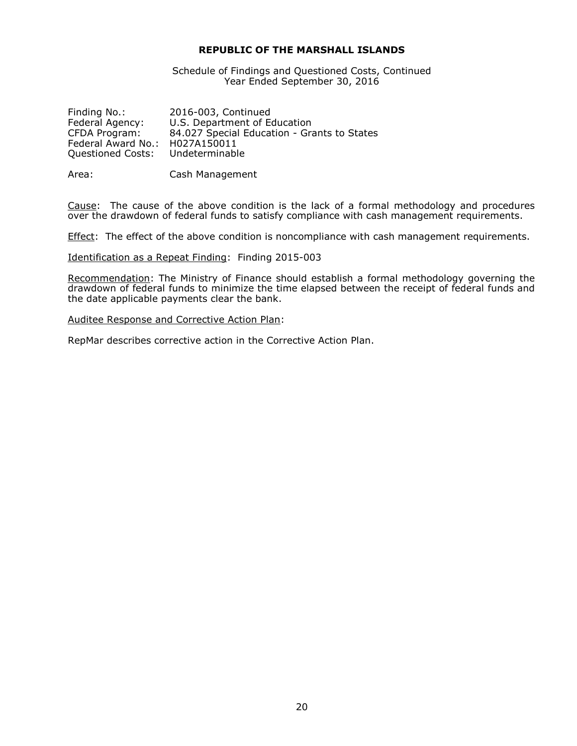Schedule of Findings and Questioned Costs, Continued Year Ended September 30, 2016

| 2016-003, Continued                         |
|---------------------------------------------|
| U.S. Department of Education                |
| 84.027 Special Education - Grants to States |
| H027A150011                                 |
| Undeterminable                              |
|                                             |

Area: Cash Management

Cause: The cause of the above condition is the lack of a formal methodology and procedures over the drawdown of federal funds to satisfy compliance with cash management requirements.

**Effect:** The effect of the above condition is noncompliance with cash management requirements.

Identification as a Repeat Finding: Finding 2015-003

Recommendation: The Ministry of Finance should establish a formal methodology governing the drawdown of federal funds to minimize the time elapsed between the receipt of federal funds and the date applicable payments clear the bank.

Auditee Response and Corrective Action Plan: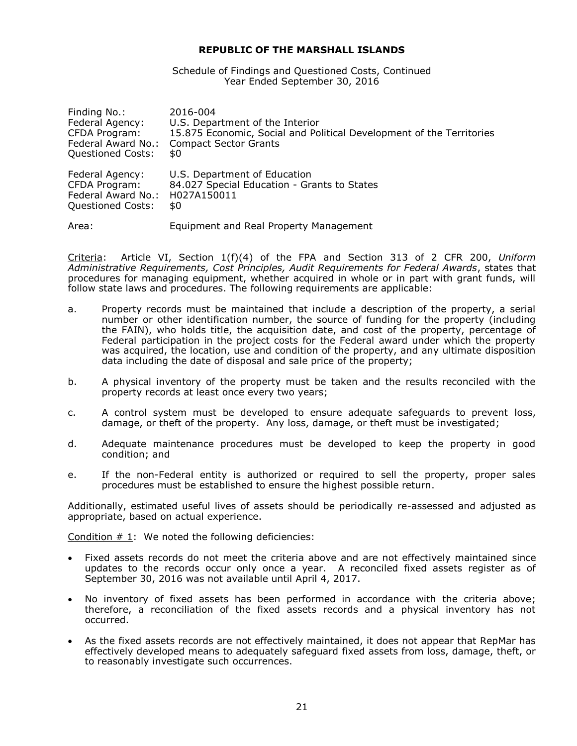Schedule of Findings and Questioned Costs, Continued Year Ended September 30, 2016

| Finding No.:       | 2016-004                                                             |
|--------------------|----------------------------------------------------------------------|
| Federal Agency:    | U.S. Department of the Interior                                      |
| CFDA Program:      | 15.875 Economic, Social and Political Development of the Territories |
| Federal Award No.: | <b>Compact Sector Grants</b>                                         |
| Questioned Costs:  | \$0                                                                  |
| Federal Agency:    | U.S. Department of Education                                         |
| CFDA Program:      | 84.027 Special Education - Grants to States                          |
| Federal Award No.: | H027A150011                                                          |
| Questioned Costs:  | \$0                                                                  |
| Area:              | Equipment and Real Property Management                               |

Criteria: Article VI, Section 1(f)(4) of the FPA and Section 313 of 2 CFR 200, *Uniform Administrative Requirements, Cost Principles, Audit Requirements for Federal Awards*, states that procedures for managing equipment, whether acquired in whole or in part with grant funds, will follow state laws and procedures. The following requirements are applicable:

- a. Property records must be maintained that include a description of the property, a serial number or other identification number, the source of funding for the property (including the FAIN), who holds title, the acquisition date, and cost of the property, percentage of Federal participation in the project costs for the Federal award under which the property was acquired, the location, use and condition of the property, and any ultimate disposition data including the date of disposal and sale price of the property;
- b. A physical inventory of the property must be taken and the results reconciled with the property records at least once every two years;
- c. A control system must be developed to ensure adequate safeguards to prevent loss, damage, or theft of the property. Any loss, damage, or theft must be investigated;
- d. Adequate maintenance procedures must be developed to keep the property in good condition; and
- e. If the non-Federal entity is authorized or required to sell the property, proper sales procedures must be established to ensure the highest possible return.

Additionally, estimated useful lives of assets should be periodically re-assessed and adjusted as appropriate, based on actual experience.

Condition # 1: We noted the following deficiencies:

- Fixed assets records do not meet the criteria above and are not effectively maintained since updates to the records occur only once a year. A reconciled fixed assets register as of September 30, 2016 was not available until April 4, 2017.
- No inventory of fixed assets has been performed in accordance with the criteria above; therefore, a reconciliation of the fixed assets records and a physical inventory has not occurred.
- As the fixed assets records are not effectively maintained, it does not appear that RepMar has effectively developed means to adequately safeguard fixed assets from loss, damage, theft, or to reasonably investigate such occurrences.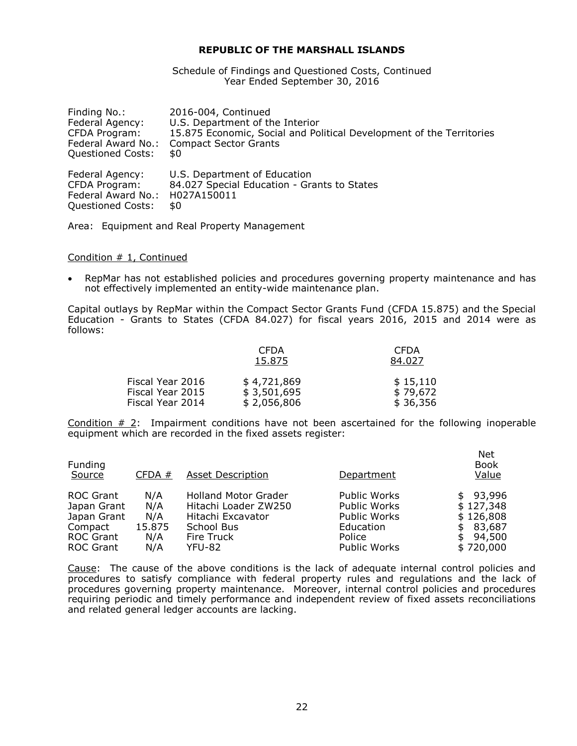Schedule of Findings and Questioned Costs, Continued Year Ended September 30, 2016

| Finding No.:             | 2016-004, Continued                                                  |
|--------------------------|----------------------------------------------------------------------|
| Federal Agency:          | U.S. Department of the Interior                                      |
| CFDA Program:            | 15.875 Economic, Social and Political Development of the Territories |
| Federal Award No.:       | <b>Compact Sector Grants</b>                                         |
| <b>Questioned Costs:</b> | \$0                                                                  |
| Federal Agency:          | U.S. Department of Education                                         |
| CFDA Program:            | 84.027 Special Education - Grants to States                          |
| Federal Award No.:       | H027A150011                                                          |
| <b>Questioned Costs:</b> | \$0                                                                  |

Area: Equipment and Real Property Management

#### Condition # 1, Continued

 RepMar has not established policies and procedures governing property maintenance and has not effectively implemented an entity-wide maintenance plan.

Capital outlays by RepMar within the Compact Sector Grants Fund (CFDA 15.875) and the Special Education - Grants to States (CFDA 84.027) for fiscal years 2016, 2015 and 2014 were as follows:

|                  | <b>CFDA</b><br>15.875 | <b>CFDA</b><br>84.027 |
|------------------|-----------------------|-----------------------|
| Fiscal Year 2016 | \$4,721,869           | \$15,110              |
| Fiscal Year 2015 | \$3,501,695           | \$79,672              |
| Fiscal Year 2014 | \$2,056,806           | \$36,356              |

Condition  $# 2$ : Impairment conditions have not been ascertained for the following inoperable equipment which are recorded in the fixed assets register:

| Funding<br>Source | CFDA#  | <b>Asset Description</b>    | Department   | <b>Net</b><br><b>Book</b><br>Value |
|-------------------|--------|-----------------------------|--------------|------------------------------------|
| <b>ROC Grant</b>  | N/A    | <b>Holland Motor Grader</b> | Public Works | \$93,996                           |
| Japan Grant       | N/A    | Hitachi Loader ZW250        | Public Works | \$127,348                          |
| Japan Grant       | N/A    | Hitachi Excavator           | Public Works | \$126,808                          |
| Compact           | 15.875 | School Bus                  | Education    | 83,687<br>\$                       |
| <b>ROC Grant</b>  | N/A    | Fire Truck                  | Police       | 94,500<br>\$                       |
| <b>ROC Grant</b>  | N/A    | YFU-82                      | Public Works | \$720,000                          |

Cause: The cause of the above conditions is the lack of adequate internal control policies and procedures to satisfy compliance with federal property rules and regulations and the lack of procedures governing property maintenance. Moreover, internal control policies and procedures requiring periodic and timely performance and independent review of fixed assets reconciliations and related general ledger accounts are lacking.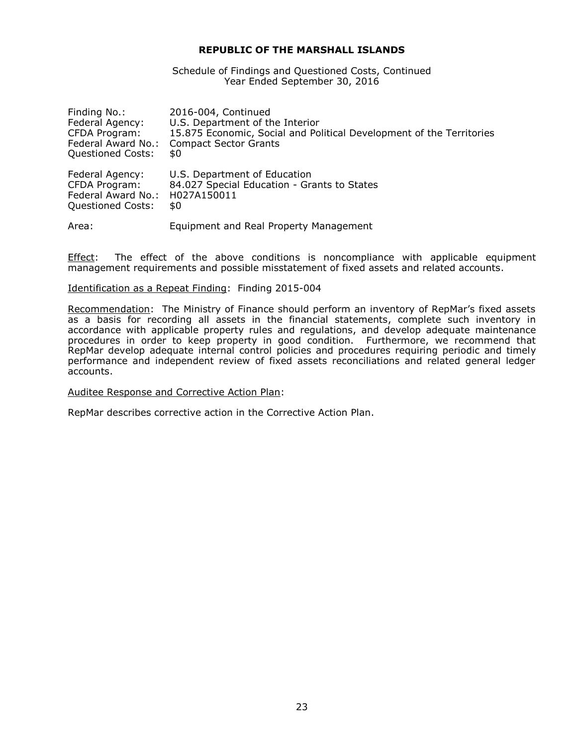Schedule of Findings and Questioned Costs, Continued Year Ended September 30, 2016

| Finding No.:             | 2016-004, Continued                                                  |
|--------------------------|----------------------------------------------------------------------|
| Federal Agency:          | U.S. Department of the Interior                                      |
| CFDA Program:            | 15.875 Economic, Social and Political Development of the Territories |
| Federal Award No.:       | <b>Compact Sector Grants</b>                                         |
| <b>Questioned Costs:</b> | \$0                                                                  |
| Federal Agency:          | U.S. Department of Education                                         |
| CFDA Program:            | 84.027 Special Education - Grants to States                          |
| Federal Award No.:       | H027A150011                                                          |
| <b>Questioned Costs:</b> | \$0                                                                  |
| Area:                    | Equipment and Real Property Management                               |

Effect: The effect of the above conditions is noncompliance with applicable equipment management requirements and possible misstatement of fixed assets and related accounts.

#### Identification as a Repeat Finding: Finding 2015-004

Recommendation: The Ministry of Finance should perform an inventory of RepMar's fixed assets as a basis for recording all assets in the financial statements, complete such inventory in accordance with applicable property rules and regulations, and develop adequate maintenance procedures in order to keep property in good condition. Furthermore, we recommend that RepMar develop adequate internal control policies and procedures requiring periodic and timely performance and independent review of fixed assets reconciliations and related general ledger accounts.

# Auditee Response and Corrective Action Plan: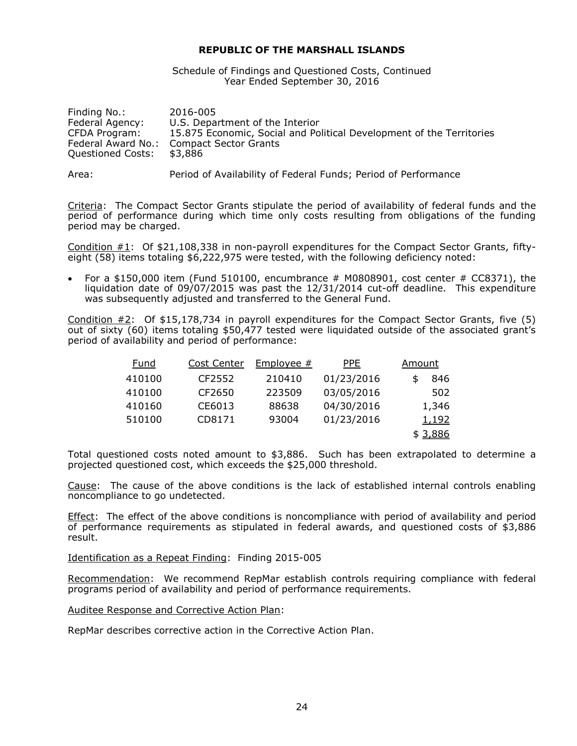Schedule of Findings and Questioned Costs, Continued Year Ended September 30, 2016

| Finding No.:       | 2016-005                                                             |
|--------------------|----------------------------------------------------------------------|
| Federal Agency:    | U.S. Department of the Interior                                      |
| CFDA Program:      | 15.875 Economic, Social and Political Development of the Territories |
| Federal Award No.: | Compact Sector Grants                                                |
| Questioned Costs:  | \$3.886                                                              |
|                    |                                                                      |

Area: Period of Availability of Federal Funds; Period of Performance

Criteria: The Compact Sector Grants stipulate the period of availability of federal funds and the period of performance during which time only costs resulting from obligations of the funding period may be charged.

Condition #1: Of \$21,108,338 in non-payroll expenditures for the Compact Sector Grants, fiftyeight (58) items totaling \$6,222,975 were tested, with the following deficiency noted:

 For a \$150,000 item (Fund 510100, encumbrance # M0808901, cost center # CC8371), the liquidation date of 09/07/2015 was past the 12/31/2014 cut-off deadline. This expenditure was subsequently adjusted and transferred to the General Fund.

Condition #2: Of \$15,178,734 in payroll expenditures for the Compact Sector Grants, five (5) out of sixty (60) items totaling \$50,477 tested were liquidated outside of the associated grant's period of availability and period of performance:

| Fund   | Cost Center | Employee $#$ | <b>PPE</b> | Amount       |
|--------|-------------|--------------|------------|--------------|
| 410100 | CF2552      | 210410       | 01/23/2016 | 846          |
| 410100 | CF2650      | 223509       | 03/05/2016 | 502          |
| 410160 | CE6013      | 88638        | 04/30/2016 | 1,346        |
| 510100 | CD8171      | 93004        | 01/23/2016 | <u>1,192</u> |
|        |             |              |            | \$ 3,886     |

Total questioned costs noted amount to \$3,886. Such has been extrapolated to determine a projected questioned cost, which exceeds the \$25,000 threshold.

Cause: The cause of the above conditions is the lack of established internal controls enabling noncompliance to go undetected.

Effect: The effect of the above conditions is noncompliance with period of availability and period of performance requirements as stipulated in federal awards, and questioned costs of \$3,886 result.

Identification as a Repeat Finding: Finding 2015-005

Recommendation: We recommend RepMar establish controls requiring compliance with federal programs period of availability and period of performance requirements.

Auditee Response and Corrective Action Plan: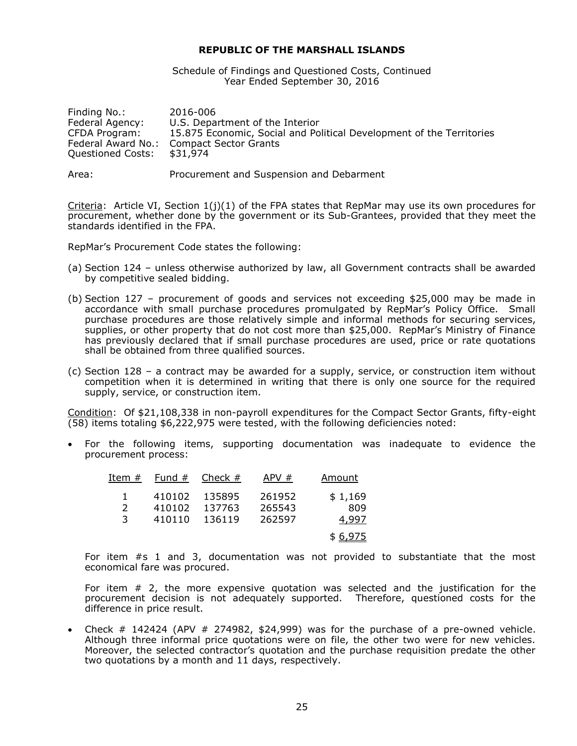Schedule of Findings and Questioned Costs, Continued Year Ended September 30, 2016

| Finding No.:       | 2016-006                                                             |
|--------------------|----------------------------------------------------------------------|
| Federal Agency:    | U.S. Department of the Interior                                      |
| CFDA Program:      | 15.875 Economic, Social and Political Development of the Territories |
| Federal Award No.: | <b>Compact Sector Grants</b>                                         |
| Questioned Costs:  | \$31,974                                                             |
|                    |                                                                      |

Area: Procurement and Suspension and Debarment

Criteria: Article VI, Section  $1(j)(1)$  of the FPA states that RepMar may use its own procedures for procurement, whether done by the government or its Sub-Grantees, provided that they meet the standards identified in the FPA.

RepMar's Procurement Code states the following:

- (a) Section 124 unless otherwise authorized by law, all Government contracts shall be awarded by competitive sealed bidding.
- (b) Section 127 procurement of goods and services not exceeding \$25,000 may be made in accordance with small purchase procedures promulgated by RepMar's Policy Office. Small purchase procedures are those relatively simple and informal methods for securing services, supplies, or other property that do not cost more than \$25,000. RepMar's Ministry of Finance has previously declared that if small purchase procedures are used, price or rate quotations shall be obtained from three qualified sources.
- (c) Section 128 a contract may be awarded for a supply, service, or construction item without competition when it is determined in writing that there is only one source for the required supply, service, or construction item.

Condition: Of \$21,108,338 in non-payroll expenditures for the Compact Sector Grants, fifty-eight (58) items totaling \$6,222,975 were tested, with the following deficiencies noted:

 For the following items, supporting documentation was inadequate to evidence the procurement process:

| Item #         | Fund $#$ | Check $#$ | APV#   | Amount  |
|----------------|----------|-----------|--------|---------|
|                | 410102   | 135895    | 261952 | \$1,169 |
| $\overline{2}$ | 410102   | 137763    | 265543 | 809     |
| 3              | 410110   | 136119    | 262597 | 4,997   |
|                |          |           |        | \$6,975 |

For item #s 1 and 3, documentation was not provided to substantiate that the most economical fare was procured.

For item # 2, the more expensive quotation was selected and the justification for the procurement decision is not adequately supported. Therefore, questioned costs for the difference in price result.

Check  $\#$  142424 (APV  $\#$  274982, \$24,999) was for the purchase of a pre-owned vehicle. Although three informal price quotations were on file, the other two were for new vehicles. Moreover, the selected contractor's quotation and the purchase requisition predate the other two quotations by a month and 11 days, respectively.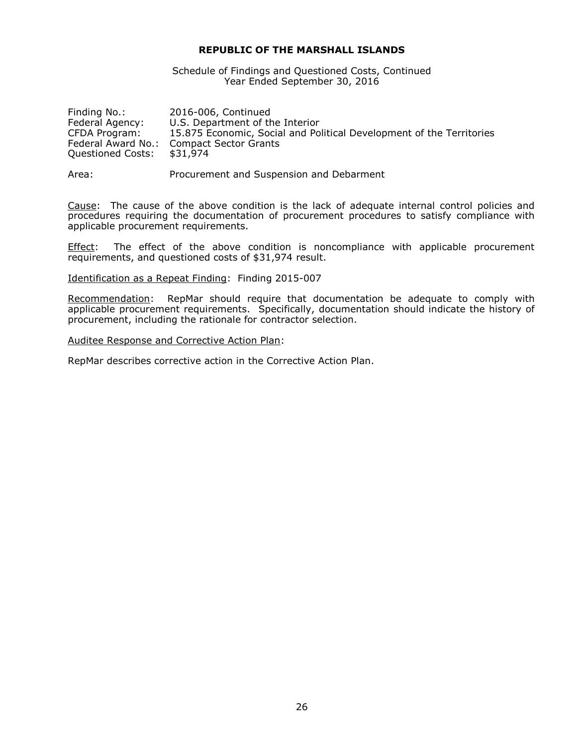Schedule of Findings and Questioned Costs, Continued Year Ended September 30, 2016

| Finding No.:       | 2016-006, Continued                                                  |
|--------------------|----------------------------------------------------------------------|
| Federal Agency:    | U.S. Department of the Interior                                      |
| CFDA Program:      | 15.875 Economic, Social and Political Development of the Territories |
| Federal Award No.: | <b>Compact Sector Grants</b>                                         |
| Questioned Costs:  | \$31,974                                                             |
|                    |                                                                      |

Area: Procurement and Suspension and Debarment

Cause: The cause of the above condition is the lack of adequate internal control policies and procedures requiring the documentation of procurement procedures to satisfy compliance with applicable procurement requirements.

Effect: The effect of the above condition is noncompliance with applicable procurement requirements, and questioned costs of \$31,974 result.

Identification as a Repeat Finding: Finding 2015-007

Recommendation: RepMar should require that documentation be adequate to comply with applicable procurement requirements. Specifically, documentation should indicate the history of procurement, including the rationale for contractor selection.

Auditee Response and Corrective Action Plan: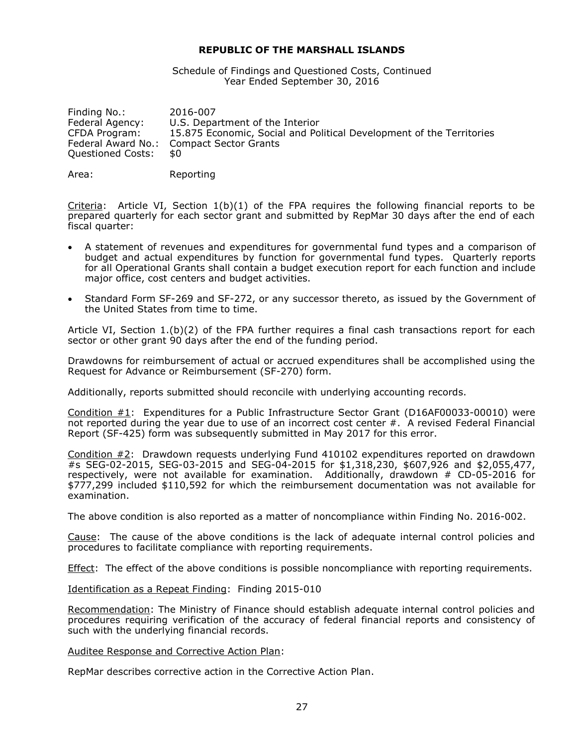Schedule of Findings and Questioned Costs, Continued Year Ended September 30, 2016

Finding No.: 2016-007 Federal Agency: U.S. Department of the Interior CFDA Program: 15.875 Economic, Social and Political Development of the Territories Federal Award No.: Compact Sector Grants Questioned Costs: \$0

Area: Reporting

Criteria: Article VI, Section  $1(b)(1)$  of the FPA requires the following financial reports to be prepared quarterly for each sector grant and submitted by RepMar 30 days after the end of each fiscal quarter:

- A statement of revenues and expenditures for governmental fund types and a comparison of budget and actual expenditures by function for governmental fund types. Quarterly reports for all Operational Grants shall contain a budget execution report for each function and include major office, cost centers and budget activities.
- Standard Form SF-269 and SF-272, or any successor thereto, as issued by the Government of the United States from time to time.

Article VI, Section 1.(b)(2) of the FPA further requires a final cash transactions report for each sector or other grant 90 days after the end of the funding period.

Drawdowns for reimbursement of actual or accrued expenditures shall be accomplished using the Request for Advance or Reimbursement (SF-270) form.

Additionally, reports submitted should reconcile with underlying accounting records.

Condition #1: Expenditures for a Public Infrastructure Sector Grant (D16AF00033-00010) were not reported during the year due to use of an incorrect cost center #. A revised Federal Financial Report (SF-425) form was subsequently submitted in May 2017 for this error.

Condition #2: Drawdown requests underlying Fund 410102 expenditures reported on drawdown #s SEG-02-2015, SEG-03-2015 and SEG-04-2015 for \$1,318,230, \$607,926 and \$2,055,477, respectively, were not available for examination. Additionally, drawdown # CD-05-2016 for \$777,299 included \$110,592 for which the reimbursement documentation was not available for examination.

The above condition is also reported as a matter of noncompliance within Finding No. 2016-002.

Cause: The cause of the above conditions is the lack of adequate internal control policies and procedures to facilitate compliance with reporting requirements.

Effect: The effect of the above conditions is possible noncompliance with reporting requirements.

Identification as a Repeat Finding: Finding 2015-010

Recommendation: The Ministry of Finance should establish adequate internal control policies and procedures requiring verification of the accuracy of federal financial reports and consistency of such with the underlying financial records.

#### Auditee Response and Corrective Action Plan: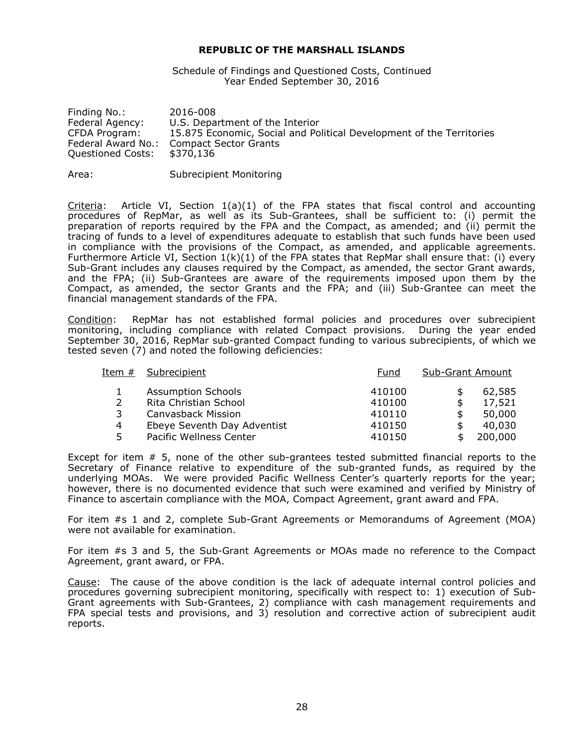Schedule of Findings and Questioned Costs, Continued Year Ended September 30, 2016

| Finding No.:       | 2016-008                                                             |
|--------------------|----------------------------------------------------------------------|
| Federal Agency:    | U.S. Department of the Interior                                      |
| CFDA Program:      | 15.875 Economic, Social and Political Development of the Territories |
| Federal Award No.: | <b>Compact Sector Grants</b>                                         |
| Questioned Costs:  | \$370,136                                                            |
|                    |                                                                      |

Area: Subrecipient Monitoring

Criteria: Article VI, Section  $1(a)(1)$  of the FPA states that fiscal control and accounting procedures of RepMar, as well as its Sub-Grantees, shall be sufficient to: (i) permit the preparation of reports required by the FPA and the Compact, as amended; and (ii) permit the tracing of funds to a level of expenditures adequate to establish that such funds have been used in compliance with the provisions of the Compact, as amended, and applicable agreements. Furthermore Article VI, Section  $1(k)(1)$  of the FPA states that RepMar shall ensure that: (i) every Sub-Grant includes any clauses required by the Compact, as amended, the sector Grant awards, and the FPA; (ii) Sub-Grantees are aware of the requirements imposed upon them by the Compact, as amended, the sector Grants and the FPA; and (iii) Sub-Grantee can meet the financial management standards of the FPA.

Condition: RepMar has not established formal policies and procedures over subrecipient monitoring, including compliance with related Compact provisions. During the year ended September 30, 2016, RepMar sub-granted Compact funding to various subrecipients, of which we tested seven (7) and noted the following deficiencies:

| Item #         | Subrecipient                | Fund   | <b>Sub-Grant Amount</b> |         |
|----------------|-----------------------------|--------|-------------------------|---------|
|                | <b>Assumption Schools</b>   | 410100 | S                       | 62,585  |
|                | Rita Christian School       | 410100 | \$                      | 17,521  |
| 3              | Canvasback Mission          | 410110 | \$                      | 50,000  |
| $\overline{4}$ | Ebeye Seventh Day Adventist | 410150 | \$                      | 40,030  |
| 5              | Pacific Wellness Center     | 410150 | S                       | 200,000 |

Except for item # 5, none of the other sub-grantees tested submitted financial reports to the Secretary of Finance relative to expenditure of the sub-granted funds, as required by the underlying MOAs. We were provided Pacific Wellness Center's quarterly reports for the year; however, there is no documented evidence that such were examined and verified by Ministry of Finance to ascertain compliance with the MOA, Compact Agreement, grant award and FPA.

For item #s 1 and 2, complete Sub-Grant Agreements or Memorandums of Agreement (MOA) were not available for examination.

For item #s 3 and 5, the Sub-Grant Agreements or MOAs made no reference to the Compact Agreement, grant award, or FPA.

Cause: The cause of the above condition is the lack of adequate internal control policies and procedures governing subrecipient monitoring, specifically with respect to: 1) execution of Sub-Grant agreements with Sub-Grantees, 2) compliance with cash management requirements and FPA special tests and provisions, and 3) resolution and corrective action of subrecipient audit reports.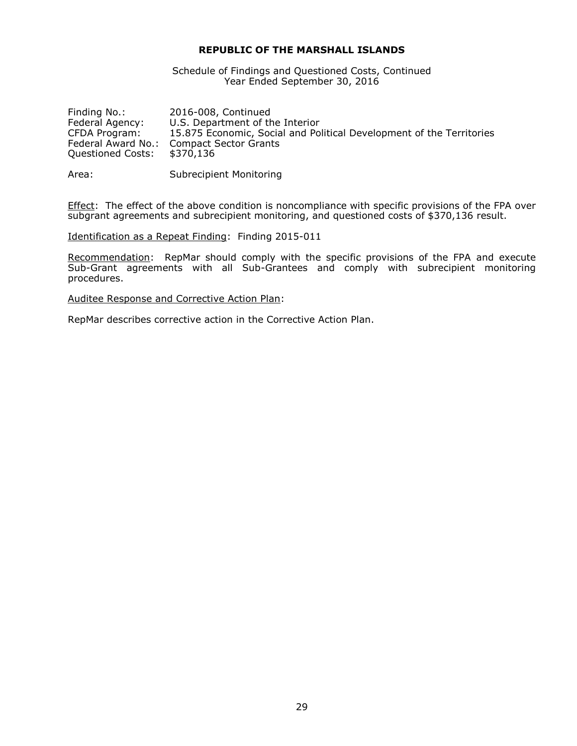Schedule of Findings and Questioned Costs, Continued Year Ended September 30, 2016

| Finding No.:       | 2016-008, Continued                                                  |
|--------------------|----------------------------------------------------------------------|
| Federal Agency:    | U.S. Department of the Interior                                      |
| CFDA Program:      | 15.875 Economic, Social and Political Development of the Territories |
| Federal Award No.: | Compact Sector Grants                                                |
| Questioned Costs:  | \$370,136                                                            |
|                    |                                                                      |

Area: Subrecipient Monitoring

Effect: The effect of the above condition is noncompliance with specific provisions of the FPA over subgrant agreements and subrecipient monitoring, and questioned costs of \$370,136 result.

Identification as a Repeat Finding: Finding 2015-011

Recommendation: RepMar should comply with the specific provisions of the FPA and execute Sub-Grant agreements with all Sub-Grantees and comply with subrecipient monitoring procedures.

Auditee Response and Corrective Action Plan: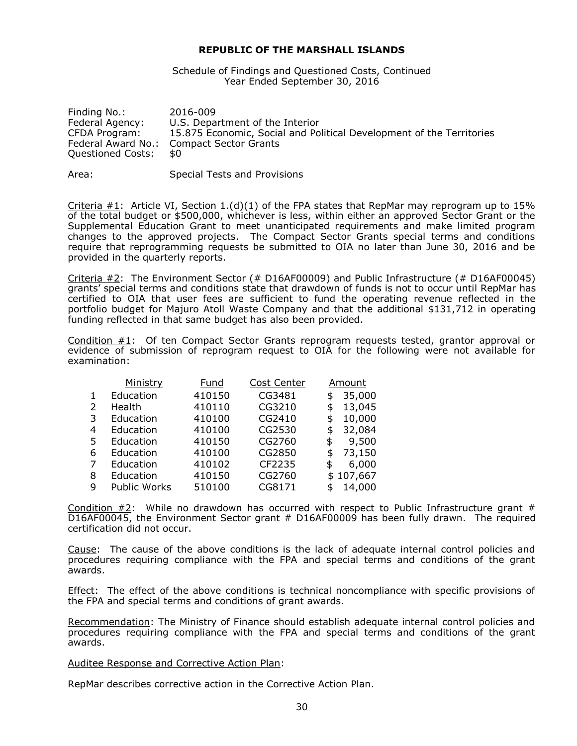Schedule of Findings and Questioned Costs, Continued Year Ended September 30, 2016

| Finding No.:       | 2016-009                                                             |
|--------------------|----------------------------------------------------------------------|
| Federal Agency:    | U.S. Department of the Interior                                      |
| CFDA Program:      | 15.875 Economic, Social and Political Development of the Territories |
| Federal Award No.: | Compact Sector Grants                                                |
| Questioned Costs:  | \$0                                                                  |

Area: Special Tests and Provisions

Criteria  $\#1$ : Article VI, Section 1.(d)(1) of the FPA states that RepMar may reprogram up to 15% of the total budget or \$500,000, whichever is less, within either an approved Sector Grant or the Supplemental Education Grant to meet unanticipated requirements and make limited program changes to the approved projects. The Compact Sector Grants special terms and conditions require that reprogramming requests be submitted to OIA no later than June 30, 2016 and be provided in the quarterly reports.

Criteria #2: The Environment Sector (# D16AF00009) and Public Infrastructure (# D16AF00045) grants' special terms and conditions state that drawdown of funds is not to occur until RepMar has certified to OIA that user fees are sufficient to fund the operating revenue reflected in the portfolio budget for Majuro Atoll Waste Company and that the additional \$131,712 in operating funding reflected in that same budget has also been provided.

Condition #1: Of ten Compact Sector Grants reprogram requests tested, grantor approval or evidence of submission of reprogram request to OIA for the following were not available for examination:

|   | Ministry     | Fund   | <b>Cost Center</b> | Amount       |
|---|--------------|--------|--------------------|--------------|
|   | Education    | 410150 | CG3481             | \$<br>35,000 |
| 2 | Health       | 410110 | CG3210             | \$<br>13,045 |
| 3 | Education    | 410100 | CG2410             | \$<br>10,000 |
| 4 | Education    | 410100 | CG2530             | \$<br>32,084 |
| 5 | Education    | 410150 | CG2760             | \$<br>9,500  |
| 6 | Education    | 410100 | CG2850             | \$<br>73,150 |
| 7 | Education    | 410102 | CF2235             | \$<br>6,000  |
| 8 | Education    | 410150 | CG2760             | \$107,667    |
| q | Public Works | 510100 | CG8171             | 14,000       |

Condition  $#2$ : While no drawdown has occurred with respect to Public Infrastructure grant  $#$ D16AF00045, the Environment Sector grant # D16AF00009 has been fully drawn. The required certification did not occur.

Cause: The cause of the above conditions is the lack of adequate internal control policies and procedures requiring compliance with the FPA and special terms and conditions of the grant awards.

Effect: The effect of the above conditions is technical noncompliance with specific provisions of the FPA and special terms and conditions of grant awards.

Recommendation: The Ministry of Finance should establish adequate internal control policies and procedures requiring compliance with the FPA and special terms and conditions of the grant awards.

Auditee Response and Corrective Action Plan: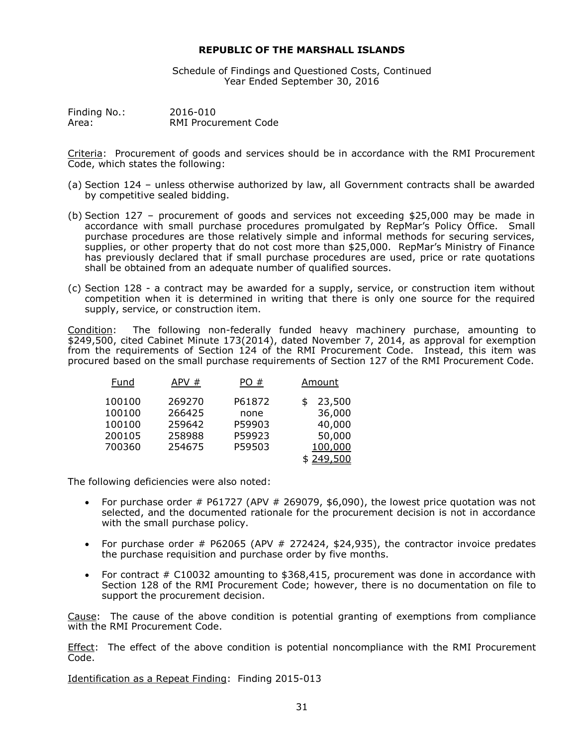Schedule of Findings and Questioned Costs, Continued Year Ended September 30, 2016

Finding No.: 2016-010 Area: RMI Procurement Code

Criteria: Procurement of goods and services should be in accordance with the RMI Procurement Code, which states the following:

- (a) Section 124 unless otherwise authorized by law, all Government contracts shall be awarded by competitive sealed bidding.
- (b) Section 127 procurement of goods and services not exceeding \$25,000 may be made in accordance with small purchase procedures promulgated by RepMar's Policy Office. Small purchase procedures are those relatively simple and informal methods for securing services, supplies, or other property that do not cost more than \$25,000. RepMar's Ministry of Finance has previously declared that if small purchase procedures are used, price or rate quotations shall be obtained from an adequate number of qualified sources.
- (c) Section 128 a contract may be awarded for a supply, service, or construction item without competition when it is determined in writing that there is only one source for the required supply, service, or construction item.

Condition: The following non-federally funded heavy machinery purchase, amounting to \$249,500, cited Cabinet Minute 173(2014), dated November 7, 2014, as approval for exemption from the requirements of Section 124 of the RMI Procurement Code. Instead, this item was procured based on the small purchase requirements of Section 127 of the RMI Procurement Code.

| Fund   | APV#   | PO#    | Amount    |  |
|--------|--------|--------|-----------|--|
| 100100 | 269270 | P61872 | 23,500    |  |
| 100100 | 266425 | none   | 36,000    |  |
| 100100 | 259642 | P59903 | 40,000    |  |
| 200105 | 258988 | P59923 | 50,000    |  |
| 700360 | 254675 | P59503 | 100,000   |  |
|        |        |        | \$249,500 |  |

The following deficiencies were also noted:

- For purchase order  $#$  P61727 (APV  $#$  269079, \$6,090), the lowest price quotation was not selected, and the documented rationale for the procurement decision is not in accordance with the small purchase policy.
- For purchase order  $#$  P62065 (APV  $#$  272424, \$24,935), the contractor invoice predates the purchase requisition and purchase order by five months.
- For contract # C10032 amounting to \$368,415, procurement was done in accordance with Section 128 of the RMI Procurement Code; however, there is no documentation on file to support the procurement decision.

Cause: The cause of the above condition is potential granting of exemptions from compliance with the RMI Procurement Code.

Effect: The effect of the above condition is potential noncompliance with the RMI Procurement Code.

Identification as a Repeat Finding: Finding 2015-013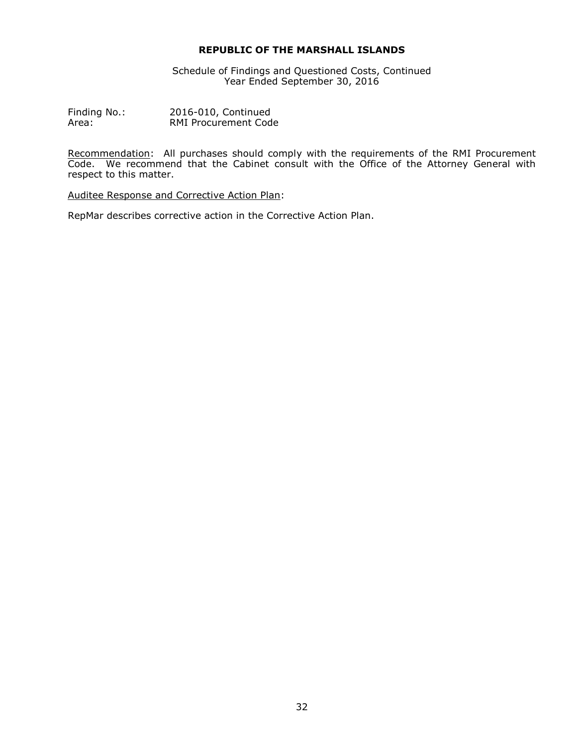Schedule of Findings and Questioned Costs, Continued Year Ended September 30, 2016

Finding No.: 2016-010, Continued Area: RMI Procurement Code

Recommendation: All purchases should comply with the requirements of the RMI Procurement Code. We recommend that the Cabinet consult with the Office of the Attorney General with respect to this matter.

Auditee Response and Corrective Action Plan: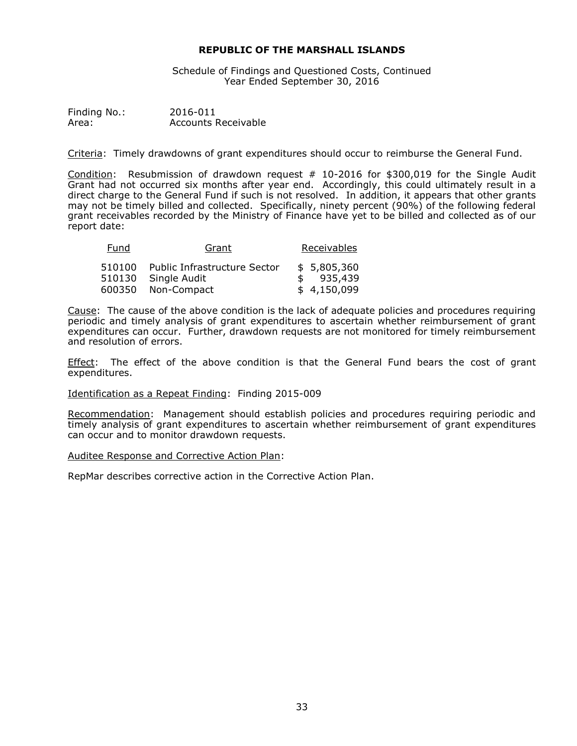Schedule of Findings and Questioned Costs, Continued Year Ended September 30, 2016

Finding No.: 2016-011 Area: Accounts Receivable

Criteria: Timely drawdowns of grant expenditures should occur to reimburse the General Fund.

Condition: Resubmission of drawdown request  $#$  10-2016 for \$300,019 for the Single Audit Grant had not occurred six months after year end. Accordingly, this could ultimately result in a direct charge to the General Fund if such is not resolved. In addition, it appears that other grants may not be timely billed and collected. Specifically, ninety percent (90%) of the following federal grant receivables recorded by the Ministry of Finance have yet to be billed and collected as of our report date:

| Fund   | Grant                        | Receivables |
|--------|------------------------------|-------------|
| 510100 | Public Infrastructure Sector | \$5.805.360 |
|        | 510130 Single Audit          | 935,439     |
|        | 600350 Non-Compact           | \$4,150,099 |

Cause: The cause of the above condition is the lack of adequate policies and procedures requiring periodic and timely analysis of grant expenditures to ascertain whether reimbursement of grant expenditures can occur. Further, drawdown requests are not monitored for timely reimbursement and resolution of errors.

Effect: The effect of the above condition is that the General Fund bears the cost of grant expenditures.

# Identification as a Repeat Finding: Finding 2015-009

Recommendation: Management should establish policies and procedures requiring periodic and timely analysis of grant expenditures to ascertain whether reimbursement of grant expenditures can occur and to monitor drawdown requests.

# Auditee Response and Corrective Action Plan: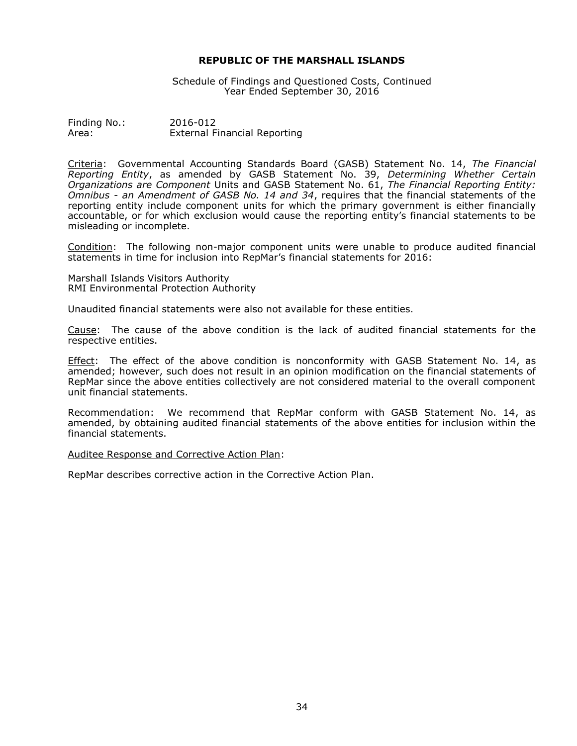Schedule of Findings and Questioned Costs, Continued Year Ended September 30, 2016

Finding No.: 2016-012 Area: External Financial Reporting

Criteria: Governmental Accounting Standards Board (GASB) Statement No. 14, *The Financial Reporting Entity*, as amended by GASB Statement No. 39, *Determining Whether Certain Organizations are Component* Units and GASB Statement No. 61, *The Financial Reporting Entity: Omnibus - an Amendment of GASB No. 14 and 34*, requires that the financial statements of the reporting entity include component units for which the primary government is either financially accountable, or for which exclusion would cause the reporting entity's financial statements to be misleading or incomplete.

Condition: The following non-major component units were unable to produce audited financial statements in time for inclusion into RepMar's financial statements for 2016:

Marshall Islands Visitors Authority RMI Environmental Protection Authority

Unaudited financial statements were also not available for these entities.

Cause: The cause of the above condition is the lack of audited financial statements for the respective entities.

Effect: The effect of the above condition is nonconformity with GASB Statement No. 14, as amended; however, such does not result in an opinion modification on the financial statements of RepMar since the above entities collectively are not considered material to the overall component unit financial statements.

Recommendation: We recommend that RepMar conform with GASB Statement No. 14, as amended, by obtaining audited financial statements of the above entities for inclusion within the financial statements.

Auditee Response and Corrective Action Plan: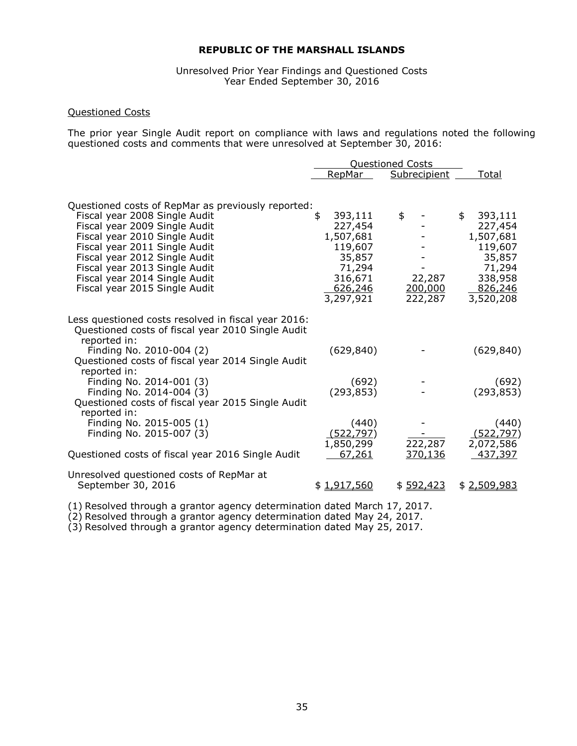Unresolved Prior Year Findings and Questioned Costs Year Ended September 30, 2016

# Questioned Costs

The prior year Single Audit report on compliance with laws and regulations noted the following questioned costs and comments that were unresolved at September 30, 2016:

|                                                                                                                                                                   | <b>Questioned Costs</b>                                               |                              |                                                                |  |
|-------------------------------------------------------------------------------------------------------------------------------------------------------------------|-----------------------------------------------------------------------|------------------------------|----------------------------------------------------------------|--|
|                                                                                                                                                                   | RepMar                                                                | Subrecipient                 | Total                                                          |  |
| Questioned costs of RepMar as previously reported:<br>Fiscal year 2008 Single Audit<br>Fiscal year 2009 Single Audit<br>Fiscal year 2010 Single Audit             | \$<br>393,111<br>227,454<br>1,507,681                                 | \$                           | 393,111<br>\$<br>227,454<br>1,507,681                          |  |
| Fiscal year 2011 Single Audit<br>Fiscal year 2012 Single Audit<br>Fiscal year 2013 Single Audit<br>Fiscal year 2014 Single Audit<br>Fiscal year 2015 Single Audit | 119,607<br>35,857<br>71,294<br>316,671<br><u>626,246</u><br>3,297,921 | 22,287<br>200,000<br>222,287 | 119,607<br>35,857<br>71,294<br>338,958<br>826,246<br>3,520,208 |  |
| Less questioned costs resolved in fiscal year 2016:<br>Questioned costs of fiscal year 2010 Single Audit<br>reported in:                                          |                                                                       |                              |                                                                |  |
| Finding No. 2010-004 (2)<br>Questioned costs of fiscal year 2014 Single Audit<br>reported in:                                                                     | (629, 840)                                                            |                              | (629, 840)                                                     |  |
| Finding No. 2014-001 (3)<br>Finding No. 2014-004 $(3)$<br>Questioned costs of fiscal year 2015 Single Audit<br>reported in:                                       | (692)<br>(293, 853)                                                   |                              | (692)<br>(293, 853)                                            |  |
| Finding No. 2015-005 (1)<br>Finding No. 2015-007 (3)                                                                                                              | (440)<br>(522, 797)<br>1,850,299                                      | 222,287                      | (440)<br>(522, 797)<br>2,072,586                               |  |
| Questioned costs of fiscal year 2016 Single Audit                                                                                                                 | 67,261                                                                | 370,136                      | 437,397                                                        |  |
| Unresolved questioned costs of RepMar at<br>September 30, 2016                                                                                                    | \$1,917,560                                                           | \$592,423                    | \$2,509,983                                                    |  |

(1) Resolved through a grantor agency determination dated March 17, 2017.

(2) Resolved through a grantor agency determination dated May 24, 2017.

(3) Resolved through a grantor agency determination dated May 25, 2017.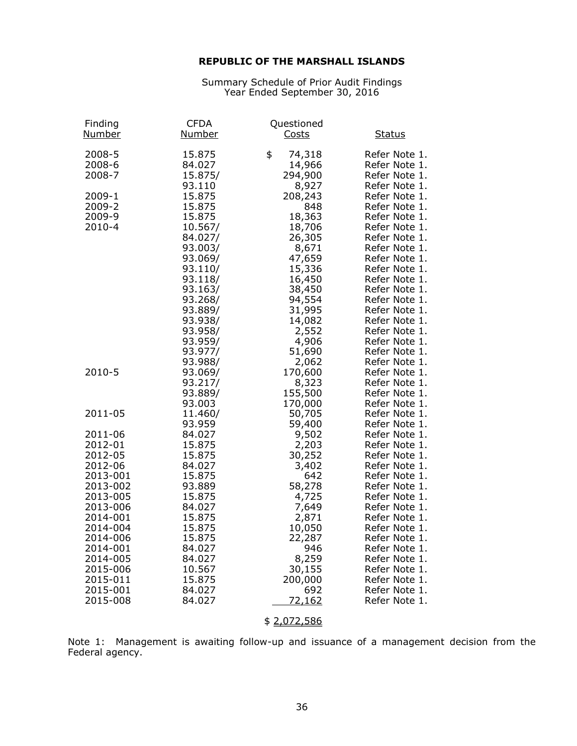Summary Schedule of Prior Audit Findings Year Ended September 30, 2016

| Finding<br><u>Number</u>   | <b>CFDA</b><br><u>Number</u> | Questioned<br><b>Costs</b>        | <b>Status</b>                                   |
|----------------------------|------------------------------|-----------------------------------|-------------------------------------------------|
| 2008-5<br>2008-6<br>2008-7 | 15.875<br>84.027<br>15.875/  | \$<br>74,318<br>14,966<br>294,900 | Refer Note 1.<br>Refer Note 1.<br>Refer Note 1. |
| 2009-1                     | 93.110<br>15.875             | 8,927<br>208,243                  | Refer Note 1.<br>Refer Note 1.                  |
| 2009-2                     | 15.875                       | 848                               | Refer Note 1.                                   |
| 2009-9                     | 15.875                       | 18,363                            | Refer Note 1.                                   |
| 2010-4                     | 10.567/                      | 18,706                            | Refer Note 1.                                   |
|                            | 84.027/<br>93.003/           | 26,305                            | Refer Note 1.<br>Refer Note 1.                  |
|                            | 93.069/                      | 8,671<br>47,659                   | Refer Note 1.                                   |
|                            | 93.110/                      | 15,336                            | Refer Note 1.                                   |
|                            | 93.118/                      | 16,450                            | Refer Note 1.                                   |
|                            | 93.163/                      | 38,450                            | Refer Note 1.                                   |
|                            | 93.268/                      | 94,554                            | Refer Note 1.                                   |
|                            | 93.889/<br>93.938/           | 31,995<br>14,082                  | Refer Note 1.<br>Refer Note 1.                  |
|                            | 93.958/                      | 2,552                             | Refer Note 1.                                   |
|                            | 93.959/                      | 4,906                             | Refer Note 1.                                   |
|                            | 93.977/                      | 51,690                            | Refer Note 1.                                   |
|                            | 93.988/                      | 2,062                             | Refer Note 1.                                   |
| 2010-5                     | 93.069/<br>93.217/           | 170,600<br>8,323                  | Refer Note 1.<br>Refer Note 1.                  |
|                            | 93.889/                      | 155,500                           | Refer Note 1.                                   |
|                            | 93.003                       | 170,000                           | Refer Note 1.                                   |
| 2011-05                    | 11.460/                      | 50,705                            | Refer Note 1.                                   |
|                            | 93.959                       | 59,400                            | Refer Note 1.                                   |
| 2011-06                    | 84.027                       | 9,502                             | Refer Note 1.                                   |
| 2012-01<br>2012-05         | 15.875<br>15.875             | 2,203<br>30,252                   | Refer Note 1.<br>Refer Note 1.                  |
| 2012-06                    | 84.027                       | 3,402                             | Refer Note 1.                                   |
| 2013-001                   | 15.875                       | 642                               | Refer Note 1.                                   |
| 2013-002                   | 93.889                       | 58,278                            | Refer Note 1.                                   |
| 2013-005                   | 15.875                       | 4,725                             | Refer Note 1.                                   |
| 2013-006                   | 84.027                       | 7,649                             | Refer Note 1.                                   |
| 2014-001<br>2014-004       | 15.875<br>15.875             | 2,871<br>10,050                   | Refer Note 1.<br>Refer Note 1.                  |
| 2014-006                   | 15.875                       | 22,287                            | Refer Note 1                                    |
| 2014-001                   | 84.027                       | 946                               | Refer Note 1.                                   |
| 2014-005                   | 84.027                       | 8,259                             | Refer Note 1.                                   |
| 2015-006                   | 10.567                       | 30,155                            | Refer Note 1.                                   |
| 2015-011<br>2015-001       | 15.875<br>84.027             | 200,000<br>692                    | Refer Note 1.                                   |
| 2015-008                   | 84.027                       | <u>72,162</u>                     | Refer Note 1.<br>Refer Note 1.                  |
|                            |                              |                                   |                                                 |

\$ 2,072,586

Note 1: Management is awaiting follow-up and issuance of a management decision from the Federal agency.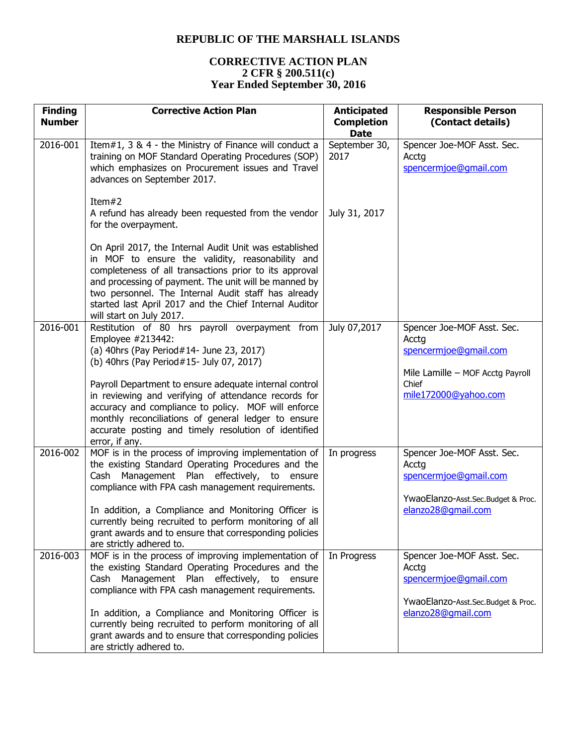# **CORRECTIVE ACTION PLAN 2 CFR § 200.511(c) Year Ended September 30, 2016**

| <b>Finding</b><br><b>Number</b> | <b>Corrective Action Plan</b>                                                                                                                                                                                                                                                                                                                                              | <b>Anticipated</b><br><b>Completion</b><br><b>Date</b> | <b>Responsible Person</b><br>(Contact details)                                                     |
|---------------------------------|----------------------------------------------------------------------------------------------------------------------------------------------------------------------------------------------------------------------------------------------------------------------------------------------------------------------------------------------------------------------------|--------------------------------------------------------|----------------------------------------------------------------------------------------------------|
| 2016-001                        | Item#1, 3 & 4 - the Ministry of Finance will conduct a<br>training on MOF Standard Operating Procedures (SOP)<br>which emphasizes on Procurement issues and Travel<br>advances on September 2017.                                                                                                                                                                          | September 30,<br>2017                                  | Spencer Joe-MOF Asst. Sec.<br>Acctg<br>spencermjoe@gmail.com                                       |
|                                 | Item#2<br>A refund has already been requested from the vendor<br>for the overpayment.                                                                                                                                                                                                                                                                                      | July 31, 2017                                          |                                                                                                    |
|                                 | On April 2017, the Internal Audit Unit was established<br>in MOF to ensure the validity, reasonability and<br>completeness of all transactions prior to its approval<br>and processing of payment. The unit will be manned by<br>two personnel. The Internal Audit staff has already<br>started last April 2017 and the Chief Internal Auditor<br>will start on July 2017. |                                                        |                                                                                                    |
| 2016-001                        | Restitution of 80 hrs payroll overpayment from<br>Employee #213442:<br>(a) 40hrs (Pay Period#14- June 23, 2017)<br>(b) 40hrs (Pay Period#15- July 07, 2017)                                                                                                                                                                                                                | July 07,2017                                           | Spencer Joe-MOF Asst. Sec.<br>Acctg<br>spencermjoe@gmail.com<br>Mile Lamille - MOF Acctg Payroll   |
|                                 | Payroll Department to ensure adequate internal control<br>in reviewing and verifying of attendance records for<br>accuracy and compliance to policy. MOF will enforce<br>monthly reconciliations of general ledger to ensure<br>accurate posting and timely resolution of identified<br>error, if any.                                                                     |                                                        | Chief<br>mile172000@yahoo.com                                                                      |
| 2016-002                        | MOF is in the process of improving implementation of<br>the existing Standard Operating Procedures and the<br>Cash Management Plan effectively, to ensure<br>compliance with FPA cash management requirements.                                                                                                                                                             | In progress                                            | Spencer Joe-MOF Asst. Sec.<br>Acctg<br>spencermjoe@gmail.com<br>YwaoElanzo-Asst.Sec.Budget & Proc. |
|                                 | In addition, a Compliance and Monitoring Officer is<br>currently being recruited to perform monitoring of all<br>grant awards and to ensure that corresponding policies<br>are strictly adhered to.                                                                                                                                                                        |                                                        | elanzo28@qmail.com                                                                                 |
| 2016-003                        | MOF is in the process of improving implementation of<br>the existing Standard Operating Procedures and the<br>Cash Management Plan effectively, to ensure<br>compliance with FPA cash management requirements.                                                                                                                                                             | In Progress                                            | Spencer Joe-MOF Asst. Sec.<br>Acctg<br>spencermjoe@gmail.com<br>YwaoElanzo-Asst.Sec.Budget & Proc. |
|                                 | In addition, a Compliance and Monitoring Officer is<br>currently being recruited to perform monitoring of all<br>grant awards and to ensure that corresponding policies<br>are strictly adhered to.                                                                                                                                                                        |                                                        | elanzo28@gmail.com                                                                                 |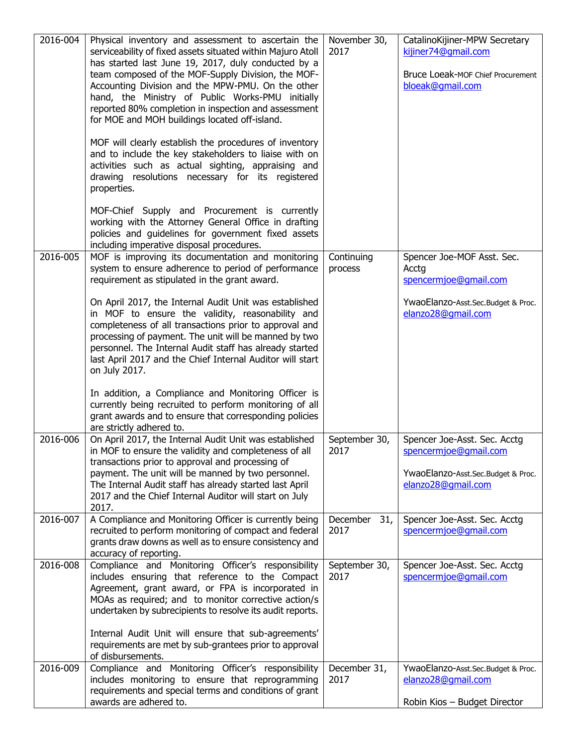| 2016-004 | Physical inventory and assessment to ascertain the<br>serviceability of fixed assets situated within Majuro Atoll<br>has started last June 19, 2017, duly conducted by a<br>team composed of the MOF-Supply Division, the MOF-<br>Accounting Division and the MPW-PMU. On the other<br>hand, the Ministry of Public Works-PMU initially<br>reported 80% completion in inspection and assessment<br>for MOE and MOH buildings located off-island. | November 30,<br>2017    | CatalinoKijiner-MPW Secretary<br>kijiner74@gmail.com<br>Bruce Loeak-MOF Chief Procurement<br>bloeak@qmail.com     |
|----------|--------------------------------------------------------------------------------------------------------------------------------------------------------------------------------------------------------------------------------------------------------------------------------------------------------------------------------------------------------------------------------------------------------------------------------------------------|-------------------------|-------------------------------------------------------------------------------------------------------------------|
|          | MOF will clearly establish the procedures of inventory<br>and to include the key stakeholders to liaise with on<br>activities such as actual sighting, appraising and<br>drawing resolutions necessary for its registered<br>properties.                                                                                                                                                                                                         |                         |                                                                                                                   |
|          | MOF-Chief Supply and Procurement is currently<br>working with the Attorney General Office in drafting<br>policies and guidelines for government fixed assets<br>including imperative disposal procedures.                                                                                                                                                                                                                                        |                         |                                                                                                                   |
| 2016-005 | MOF is improving its documentation and monitoring<br>system to ensure adherence to period of performance<br>requirement as stipulated in the grant award.                                                                                                                                                                                                                                                                                        | Continuing<br>process   | Spencer Joe-MOF Asst. Sec.<br>Acctg<br>spencermjoe@gmail.com                                                      |
|          | On April 2017, the Internal Audit Unit was established<br>in MOF to ensure the validity, reasonability and<br>completeness of all transactions prior to approval and<br>processing of payment. The unit will be manned by two<br>personnel. The Internal Audit staff has already started<br>last April 2017 and the Chief Internal Auditor will start<br>on July 2017.                                                                           |                         | YwaoElanzo-Asst.Sec.Budget & Proc.<br>elanzo28@gmail.com                                                          |
|          | In addition, a Compliance and Monitoring Officer is<br>currently being recruited to perform monitoring of all<br>grant awards and to ensure that corresponding policies<br>are strictly adhered to.                                                                                                                                                                                                                                              |                         |                                                                                                                   |
| 2016-006 | On April 2017, the Internal Audit Unit was established<br>in MOF to ensure the validity and completeness of all<br>transactions prior to approval and processing of<br>payment. The unit will be manned by two personnel.<br>The Internal Audit staff has already started last April<br>2017 and the Chief Internal Auditor will start on July<br>2017.                                                                                          | September 30,<br>2017   | Spencer Joe-Asst. Sec. Acctg<br>spencermjoe@gmail.com<br>YwaoElanzo-Asst.Sec.Budget & Proc.<br>elanzo28@gmail.com |
| 2016-007 | A Compliance and Monitoring Officer is currently being<br>recruited to perform monitoring of compact and federal<br>grants draw downs as well as to ensure consistency and<br>accuracy of reporting.                                                                                                                                                                                                                                             | December<br>31,<br>2017 | Spencer Joe-Asst. Sec. Acctg<br>spencermjoe@gmail.com                                                             |
| 2016-008 | Compliance and Monitoring Officer's responsibility<br>includes ensuring that reference to the Compact<br>Agreement, grant award, or FPA is incorporated in<br>MOAs as required; and to monitor corrective action/s<br>undertaken by subrecipients to resolve its audit reports.<br>Internal Audit Unit will ensure that sub-agreements'<br>requirements are met by sub-grantees prior to approval                                                | September 30,<br>2017   | Spencer Joe-Asst. Sec. Acctg<br>spencermjoe@gmail.com                                                             |
| 2016-009 | of disbursements.<br>Compliance and Monitoring Officer's responsibility<br>includes monitoring to ensure that reprogramming<br>requirements and special terms and conditions of grant<br>awards are adhered to.                                                                                                                                                                                                                                  | December 31,<br>2017    | YwaoElanzo-Asst.Sec.Budget & Proc.<br>elanzo28@gmail.com<br>Robin Kios - Budget Director                          |